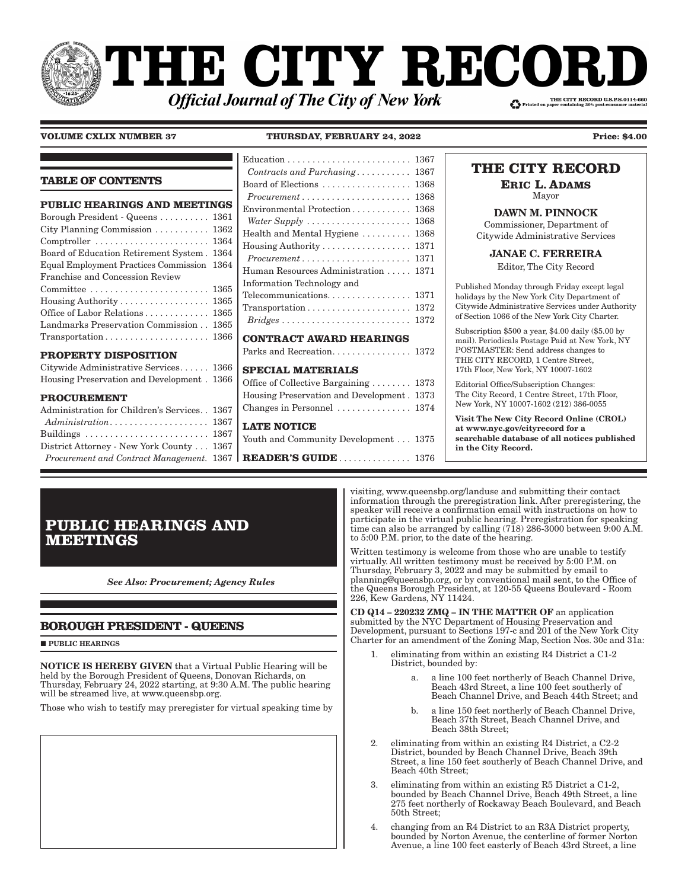# NHE CITY RECOI THE CITY RECORD U.S.P.S.0114-660 **Official Journal of The City of New York**

÷

**VOLUME CXLIX NUMBER 37 THURSDAY, FEBRUARY 24, 2022 Price: \$4.00**

|                                                                                                                                                                                                                                                      |                                                                                                                                                                                                                                                                                            | THE CITY RECORD                                                                                                                                                                                  |
|------------------------------------------------------------------------------------------------------------------------------------------------------------------------------------------------------------------------------------------------------|--------------------------------------------------------------------------------------------------------------------------------------------------------------------------------------------------------------------------------------------------------------------------------------------|--------------------------------------------------------------------------------------------------------------------------------------------------------------------------------------------------|
| <b>TABLE OF CONTENTS</b>                                                                                                                                                                                                                             | Contracts and Purchasing 1367<br>Board of Elections $\ldots \ldots \ldots \ldots \ldots$ 1368                                                                                                                                                                                              | <b>ERIC L. ADAMS</b>                                                                                                                                                                             |
|                                                                                                                                                                                                                                                      | $Procurrent \ldots \ldots \ldots \ldots \ldots \ldots 1368$                                                                                                                                                                                                                                | Mayor                                                                                                                                                                                            |
| <b>PUBLIC HEARINGS AND MEETINGS</b><br>Borough President - Queens  1361<br>City Planning Commission $\ldots \ldots \ldots 1362$<br>$Comptroller \ldots \ldots \ldots \ldots \ldots \ldots \ldots 1364$<br>Board of Education Retirement System. 1364 | Water Supply  1368<br>Health and Mental Hygiene  1368<br>Housing Authority 1371                                                                                                                                                                                                            | <b>DAWN M. PINNOCK</b><br>Commissioner, Department of<br>Citywide Administrative Services<br><b>JANAE C. FERREIRA</b>                                                                            |
| Equal Employment Practices Commission 1364                                                                                                                                                                                                           | $Procurrent \ldots \ldots \ldots \ldots \ldots \ldots \ldots 1371$<br>Human Resources Administration  1371                                                                                                                                                                                 | Editor, The City Record                                                                                                                                                                          |
| Franchise and Concession Review<br>Housing Authority  1365<br>Office of Labor Relations 1365                                                                                                                                                         | Information Technology and<br>$\label{eq:transposition} {\small\begin{minipage}{0.9\linewidth} \textbf{Transportation}\dots\ldots\ldots\ldots\ldots\ldots\ldots\ldots\ldots\textbf{1372} \end{minipage}}$<br>$Bridges \ldots \ldots \ldots \ldots \ldots \ldots \ldots \ldots \ldots 1372$ | Published Monday through Friday except legal<br>holidays by the New York City Department of<br>Citywide Administrative Services under Authority<br>of Section 1066 of the New York City Charter. |
| Landmarks Preservation Commission 1365<br>$Transportion \ldots \ldots \ldots \ldots \ldots \ldots \ldots 1366$                                                                                                                                       | <b>CONTRACT AWARD HEARINGS</b>                                                                                                                                                                                                                                                             | Subscription $$500$ a year, $$4.00$ daily $$5.00$ by<br>mail). Periodicals Postage Paid at New York, NY                                                                                          |
| <b>PROPERTY DISPOSITION</b><br>Citywide Administrative Services 1366                                                                                                                                                                                 | <b>SPECIAL MATERIALS</b>                                                                                                                                                                                                                                                                   | POSTMASTER: Send address changes to<br>THE CITY RECORD, 1 Centre Street,<br>17th Floor, New York, NY 10007-1602                                                                                  |
| Housing Preservation and Development. 1366<br><b>PROCUREMENT</b>                                                                                                                                                                                     | Office of Collective Bargaining 1373<br>Housing Preservation and Development. 1373                                                                                                                                                                                                         | Editorial Office/Subscription Changes:<br>The City Record, 1 Centre Street, 17th Floor,<br>New York, NY 10007-1602 (212) 386-0055                                                                |
| Administration for Children's Services. . 1367<br>Buildings  1367<br>District Attorney - New York County 1367<br>Procurement and Contract Management. 1367                                                                                           | Changes in Personnel  1374<br><b>LATE NOTICE</b><br>Youth and Community Development 1375<br>READER'S GUIDE 1376                                                                                                                                                                            | Visit The New City Record Online (CROL)<br>at www.nyc.gov/cityrecord for a<br>searchable database of all notices published<br>in the City Record.                                                |

**PUBLIC HEARINGS AND MEETINGS**

*See Also: Procurement; Agency Rules*

### **BOROUGH PRESIDENT - QUEENS**

**PUBLIC HEARINGS** 

NOTICE IS HEREBY GIVEN that a Virtual Public Hearing will be held by the Borough President of Queens, Donovan Richards, on Thursday, February 24, 2022 starting, at 9:30 A.M. The public hearing will be streamed live, at www.queensbp.org.

Those who wish to testify may preregister for virtual speaking time by

visiting, www.queensbp.org/landuse and submitting their contact information through the preregistration link. After preregistering, the speaker will receive a confirmation email with instructions on how to participate in the virtual public hearing. Preregistration for speaking time can also be arranged by calling (718) 286-3000 between 9:00 A.M. to 5:00 P.M. prior, to the date of the hearing.

Written testimony is welcome from those who are unable to testify virtually. All written testimony must be received by 5:00 P.M. on Thursday, February 3, 2022 and may be submitted by email to planning@queensbp.org, or by conventional mail sent, to the Office of the Queens Borough President, at 120-55 Queens Boulevard - Room 226, Kew Gardens, NY 11424.

CD Q14 – 220232 ZMQ – IN THE MATTER OF an application submitted by the NYC Department of Housing Preservation and Development, pursuant to Sections 197-c and 201 of the New York City Charter for an amendment of the Zoning Map, Section Nos. 30c and 31a:

- 1. eliminating from within an existing R4 District a C1-2 District, bounded by:
	- a. a line 100 feet northerly of Beach Channel Drive, Beach 43rd Street, a line 100 feet southerly of Beach Channel Drive, and Beach 44th Street; and
	- b. a line 150 feet northerly of Beach Channel Drive, Beach 37th Street, Beach Channel Drive, and Beach 38th Street;
- 2. eliminating from within an existing R4 District, a C2-2 District, bounded by Beach Channel Drive, Beach 39th Street, a line 150 feet southerly of Beach Channel Drive, and Beach 40th Street;
- 3. eliminating from within an existing R5 District a C1-2, bounded by Beach Channel Drive, Beach 49th Street, a line 275 feet northerly of Rockaway Beach Boulevard, and Beach 50th Street;
- 4. changing from an R4 District to an R3A District property, bounded by Norton Avenue, the centerline of former Norton Avenue, a line 100 feet easterly of Beach 43rd Street, a line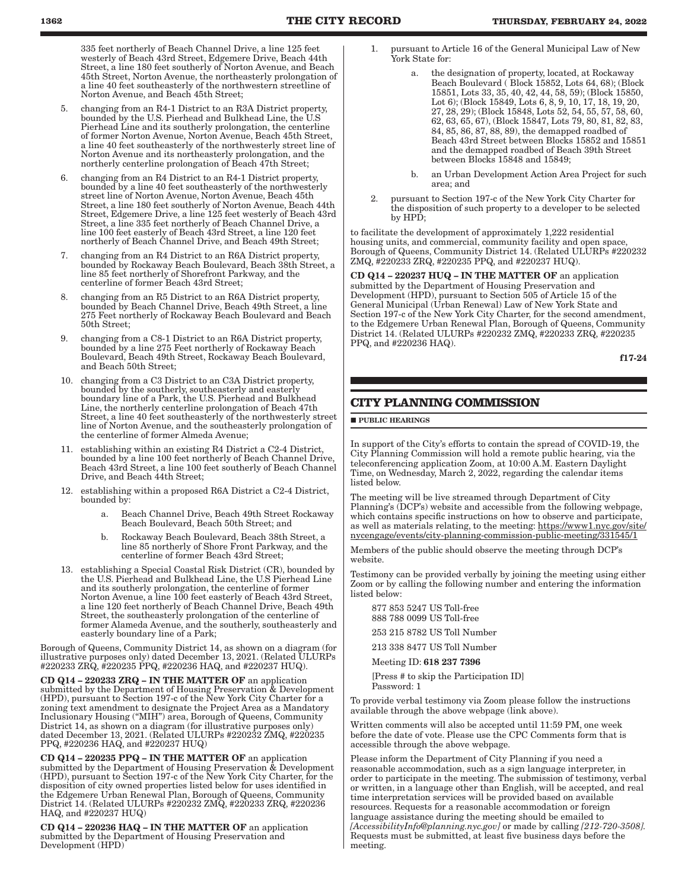335 feet northerly of Beach Channel Drive, a line 125 feet westerly of Beach 43rd Street, Edgemere Drive, Beach 44th Street, a line 180 feet southerly of Norton Avenue, and Beach 45th Street, Norton Avenue, the northeasterly prolongation of a line 40 feet southeasterly of the northwestern streetline of Norton Avenue, and Beach 45th Street;

- 5. changing from an R4-1 District to an R3A District property, bounded by the U.S. Pierhead and Bulkhead Line, the U.S Pierhead Line and its southerly prolongation, the centerline of former Norton Avenue, Norton Avenue, Beach 45th Street, a line 40 feet southeasterly of the northwesterly street line of Norton Avenue and its northeasterly prolongation, and the northerly centerline prolongation of Beach 47th Street;
- 6. changing from an R4 District to an R4-1 District property, bounded by a line 40 feet southeasterly of the northwesterly street line of Norton Avenue, Norton Avenue, Beach 45th Street, a line 180 feet southerly of Norton Avenue, Beach 44th Street, Edgemere Drive, a line 125 feet westerly of Beach 43rd Street, a line 335 feet northerly of Beach Channel Drive, a line 100 feet easterly of Beach 43rd Street, a line 120 feet northerly of Beach Channel Drive, and Beach 49th Street;
- 7. changing from an R4 District to an R6A District property, bounded by Rockaway Beach Boulevard, Beach 38th Street, a line 85 feet northerly of Shorefront Parkway, and the centerline of former Beach 43rd Street;
- 8. changing from an R5 District to an R6A District property, bounded by Beach Channel Drive, Beach 49th Street, a line 275 Feet northerly of Rockaway Beach Boulevard and Beach 50th Street;
- 9. changing from a C8-1 District to an R6A District property, bounded by a line 275 Feet northerly of Rockaway Beach Boulevard, Beach 49th Street, Rockaway Beach Boulevard, and Beach 50th Street;
- 10. changing from a C3 District to an C3A District property, bounded by the southerly, southeasterly and easterly boundary line of a Park, the U.S. Pierhead and Bulkhead Line, the northerly centerline prolongation of Beach 47th Street, a line 40 feet southeasterly of the northwesterly street line of Norton Avenue, and the southeasterly prolongation of the centerline of former Almeda Avenue;
- 11. establishing within an existing R4 District a C2-4 District, bounded by a line 100 feet northerly of Beach Channel Drive, Beach 43rd Street, a line 100 feet southerly of Beach Channel Drive, and Beach 44th Street;
- 12. establishing within a proposed R6A District a C2-4 District, bounded by:
	- a. Beach Channel Drive, Beach 49th Street Rockaway Beach Boulevard, Beach 50th Street; and
	- b. Rockaway Beach Boulevard, Beach 38th Street, a line 85 northerly of Shore Front Parkway, and the centerline of former Beach 43rd Street;
- 13. establishing a Special Coastal Risk District (CR), bounded by the U.S. Pierhead and Bulkhead Line, the U.S Pierhead Line and its southerly prolongation, the centerline of former Norton Avenue, a line 100 feet easterly of Beach 43rd Street, a line 120 feet northerly of Beach Channel Drive, Beach 49th Street, the southeasterly prolongation of the centerline of former Alameda Avenue, and the southerly, southeasterly and easterly boundary line of a Park;

Borough of Queens, Community District 14, as shown on a diagram (for illustrative purposes only) dated December 13, 2021. (Related ULURPs #220233 ZRQ, #220235 PPQ, #220236 HAQ, and #220237 HUQ).

CD Q14 – 220233 ZRQ – IN THE MATTER OF an application submitted by the Department of Housing Preservation & Development (HPD), pursuant to Section 197-c of the New York City Charter for a zoning text amendment to designate the Project Area as a Mandatory Inclusionary Housing ("MIH") area, Borough of Queens, Community District 14, as shown on a diagram (for illustrative purposes only) dated December 13, 2021. (Related ULURPs #220232 ZMQ, #220235 PPQ, #220236 HAQ, and #220237 HUQ)

CD Q14 – 220235 PPQ – IN THE MATTER OF an application submitted by the Department of Housing Preservation & Development (HPD), pursuant to Section 197-c of the New York City Charter, for the disposition of city owned properties listed below for uses identified in the Edgemere Urban Renewal Plan, Borough of Queens, Community District 14. (Related ULURPs #220232 ZMQ, #220233 ZRQ, #220236 HAQ, and #220237 HUQ)

CD Q14 – 220236 HAQ – IN THE MATTER OF an application submitted by the Department of Housing Preservation and Development (HPD)

- 1. pursuant to Article 16 of the General Municipal Law of New York State for:
	- the designation of property, located, at Rockaway Beach Boulevard ( Block 15852, Lots 64, 68); (Block 15851, Lots 33, 35, 40, 42, 44, 58, 59); (Block 15850, Lot 6); (Block 15849, Lots 6, 8, 9, 10, 17, 18, 19, 20, 27, 28, 29); (Block 15848, Lots 52, 54, 55, 57, 58, 60, 62, 63, 65, 67), (Block 15847, Lots 79, 80, 81, 82, 83, 84, 85, 86, 87, 88, 89), the demapped roadbed of Beach 43rd Street between Blocks 15852 and 15851 and the demapped roadbed of Beach 39th Street between Blocks 15848 and 15849;
	- b. an Urban Development Action Area Project for such area; and
- 2. pursuant to Section 197-c of the New York City Charter for the disposition of such property to a developer to be selected by HPD;

to facilitate the development of approximately 1,222 residential housing units, and commercial, community facility and open space, Borough of Queens, Community District 14. (Related ULURPs #220232 ZMQ, #220233 ZRQ, #220235 PPQ, and #220237 HUQ).

CD Q14 – 220237 HUQ – IN THE MATTER OF an application submitted by the Department of Housing Preservation and Development (HPD), pursuant to Section 505 of Article 15 of the General Municipal (Urban Renewal) Law of New York State and Section 197-c of the New York City Charter, for the second amendment, to the Edgemere Urban Renewal Plan, Borough of Queens, Community District 14. (Related ULURPs #220232 ZMQ, #220233 ZRQ, #220235 PPQ, and #220236 HAQ).

f17-24

### **CITY PLANNING COMMISSION**

 $\blacksquare$ PUBLIC HEARINGS

In support of the City's efforts to contain the spread of COVID-19, the City Planning Commission will hold a remote public hearing, via the teleconferencing application Zoom, at 10:00 A.M. Eastern Daylight Time, on Wednesday, March 2, 2022, regarding the calendar items listed below.

The meeting will be live streamed through Department of City Planning's (DCP's) website and accessible from the following webpage, which contains specific instructions on how to observe and participate, as well as materials relating, to the meeting: https://www1.nyc.gov/site/ nycengage/events/city-planning-commission-public-meeting/331545/1

Members of the public should observe the meeting through DCP's website.

Testimony can be provided verbally by joining the meeting using either Zoom or by calling the following number and entering the information listed below:

877 853 5247 US Toll-free 888 788 0099 US Toll-free 253 215 8782 US Toll Number

213 338 8477 US Toll Number

Meeting ID: 618 237 7396

[Press # to skip the Participation ID] Password: 1

To provide verbal testimony via Zoom please follow the instructions available through the above webpage (link above).

Written comments will also be accepted until 11:59 PM, one week before the date of vote. Please use the CPC Comments form that is accessible through the above webpage.

Please inform the Department of City Planning if you need a reasonable accommodation, such as a sign language interpreter, in order to participate in the meeting. The submission of testimony, verbal or written, in a language other than English, will be accepted, and real time interpretation services will be provided based on available resources. Requests for a reasonable accommodation or foreign language assistance during the meeting should be emailed to *[AccessibilityInfo@planning.nyc.gov]* or made by calling *[212-720-3508].* Requests must be submitted, at least five business days before the meeting.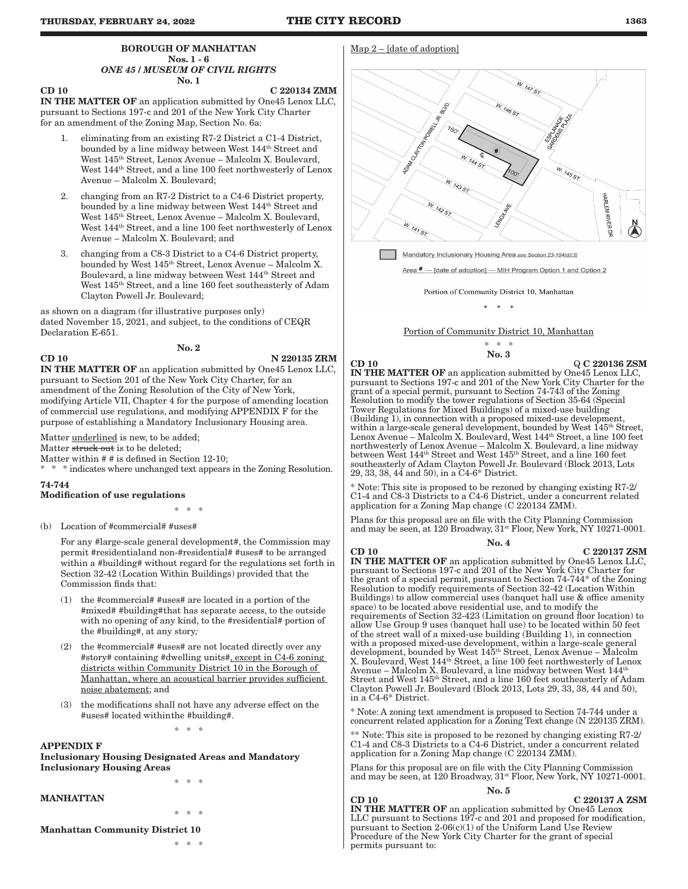Map 2 – [date of adoption]

#### BOROUGH OF MANHATTAN Nos. 1 - 6 *ONE 45 / MUSEUM OF CIVIL RIGHTS* No. 1

## CD 10 C 220134 ZMM

IN THE MATTER OF an application submitted by One45 Lenox LLC, pursuant to Sections 197-c and 201 of the New York City Charter for an amendment of the Zoning Map, Section No. 6a:

- eliminating from an existing R7-2 District a C1-4 District, bounded by a line midway between West 144th Street and West 145th Street, Lenox Avenue – Malcolm X. Boulevard, West  $144^{\text{th}}$  Street, and a line 100 feet northwesterly of Lenox Avenue – Malcolm X. Boulevard;
- 2. changing from an R7-2 District to a C4-6 District property, bounded by a line midway between West 144th Street and West 145th Street, Lenox Avenue – Malcolm X. Boulevard, West  $144^{\text{th}}$  Street, and a line 100 feet northwesterly of Lenox Avenue – Malcolm X. Boulevard; and
- 3. changing from a C8-3 District to a C4-6 District property, bounded by West 145th Street, Lenox Avenue – Malcolm X. Boulevard, a line midway between West 144th Street and West 145th Street, and a line 160 feet southeasterly of Adam Clayton Powell Jr. Boulevard;

as shown on a diagram (for illustrative purposes only) dated November 15, 2021, and subject, to the conditions of CEQR Declaration E-651.

CD 10 N 220135 ZRM

IN THE MATTER OF an application submitted by One45 Lenox LLC, pursuant to Section 201 of the New York City Charter, for an amendment of the Zoning Resolution of the City of New York, modifying Article VII, Chapter 4 for the purpose of amending location of commercial use regulations, and modifying APPENDIX F for the purpose of establishing a Mandatory Inclusionary Housing area.

No. 2

Matter underlined is new, to be added;

Matter struck out is to be deleted;

Matter within # # is defined in Section 12-10;

 $\hspace{0.1mm}^*$  \* indicates where unchanged text appears in the Zoning Resolution.

#### 74-744

Modification of use regulations

\* \* \*

(b) Location of #commercial# #uses#

For any #large-scale general development#, the Commission may permit #residential and non-#residential# #uses# to be arranged within a #building# without regard for the regulations set forth in Section 32-42 (Location Within Buildings) provided that the Commission finds that:

- (1) the  $\# \mathrm{commercial}$ #  $\# \mathrm{uses}$ # are located in a portion of the #mixed# #building# that has separate access, to the outside with no opening of any kind, to the #residential# portion of the #building#, at any story*;*
- (2) the #commercial# #uses# are not located directly over any #story# containing #dwelling units#, except in C4-6 zoning districts within Community District 10 in the Borough of Manhattan, where an acoustical barrier provides sufficient noise abatement; and
- (3) the modifications shall not have any adverse effect on the #uses# located within the #building#.

\* \* \*

\* \* \*

\* \* \*

### APPENDIX F

Inclusionary Housing Designated Areas and Mandatory Inclusionary Housing Areas

#### MANHATTAN

#### Manhattan Community District 10

\* \* \*



Mandatory Inclusionary Housing Area see Section 23-154(d)(3)

Area # - [date of adoption] - MIH Program Option 1 and Option 2

Portion of Community District 10, Manhattan

\* \* \*

#### Portion of Community District 10, Manhattan

$$
\begin{array}{cc} * & * & * \\ \textbf{No.} & 3 \end{array}
$$

#### $\overline{Q}$  C 220136 ZSM

IN THE MATTER OF an application submitted by One45 Lenox LLC, pursuant to Sections 197-c and 201 of the New York City Charter for the grant of a special permit, pursuant to Section 74-743 of the Zoning Resolution to modify the tower regulations of Section 35-64 (Special Tower Regulations for Mixed Buildings) of a mixed-use building (Building 1), in connection with a proposed mixed-use development, within a large-scale general development, bounded by West 145<sup>th</sup> Street, Lenox Avenue – Malcolm X. Boulevard, West 144th Street, a line 100 feet northwesterly of Lenox Avenue – Malcolm X. Boulevard, a line midway between West 144th Street and West 145th Street, and a line 160 feet southeasterly of Adam Clayton Powell Jr. Boulevard (Block 2013, Lots 29, 33, 38, 44 and 50), in a C4-6\* District.

\* Note: This site is proposed to be rezoned by changing existing R7-2/ C1-4 and C8-3 Districts to a C4-6 District, under a concurrent related application for a Zoning Map change (C 220134 ZMM).

Plans for this proposal are on file with the City Planning Commission and may be seen, at 120 Broadway,  $31^{st}$  Floor, New York, NY 10271-0001.

#### No. 4

 $CD 10$   $C 220137 ZSM$ IN THE MATTER OF an application submitted by One45 Lenox LLC, pursuant to Sections 197-c and 201 of the New York City Charter for the grant of a special permit, pursuant to Section 74-744\* of the Zoning Resolution to modify requirements of Section 32-42 (Location Within Buildings) to allow commercial uses (banquet hall use & office amenity space) to be located above residential use, and to modify the requirements of Section 32-423 (Limitation on ground floor location) to allow Use Group 9 uses (banquet hall use) to be located within 50 feet of the street wall of a mixed-use building (Building 1), in connection with a proposed mixed-use development, within a large-scale general development, bounded by West 145th Street, Lenox Avenue – Malcolm X. Boulevard, West 144<sup>th</sup> Street, a line 100 feet northwesterly of Lenox Avenue – Malcolm X. Boulevard, a line midway between West  $144^{\text{th}}$ Street and West  $145^{\text{th}}$  Street, and a line 160 feet southeasterly of Adam Clayton Powell Jr. Boulevard (Block 2013, Lots 29, 33, 38, 44 and 50), in a C4-6\* District.

\* Note: A zoning text amendment is proposed to Section 74-744 under a concurrent related application for a Zoning Text change (N 220135 ZRM).

Note: This site is proposed to be rezoned by changing existing R7-2/ C1-4 and C8-3 Districts to a C4-6 District, under a concurrent related application for a Zoning Map change (C 220134 ZMM).

Plans for this proposal are on file with the City Planning Commission and may be seen, at 120 Broadway,  $31^{st}$  Floor, New York, NY 10271-0001.

No. 5 CD 10 C 220137 A ZSM

IN THE MATTER OF an application submitted by One45 Lenox LLC pursuant to Sections 197-c and 201 and proposed for modification, pursuant to Section 2-06(c)(1) of the Uniform Land Use Review Procedure of the New York City Charter for the grant of special permits pursuant to: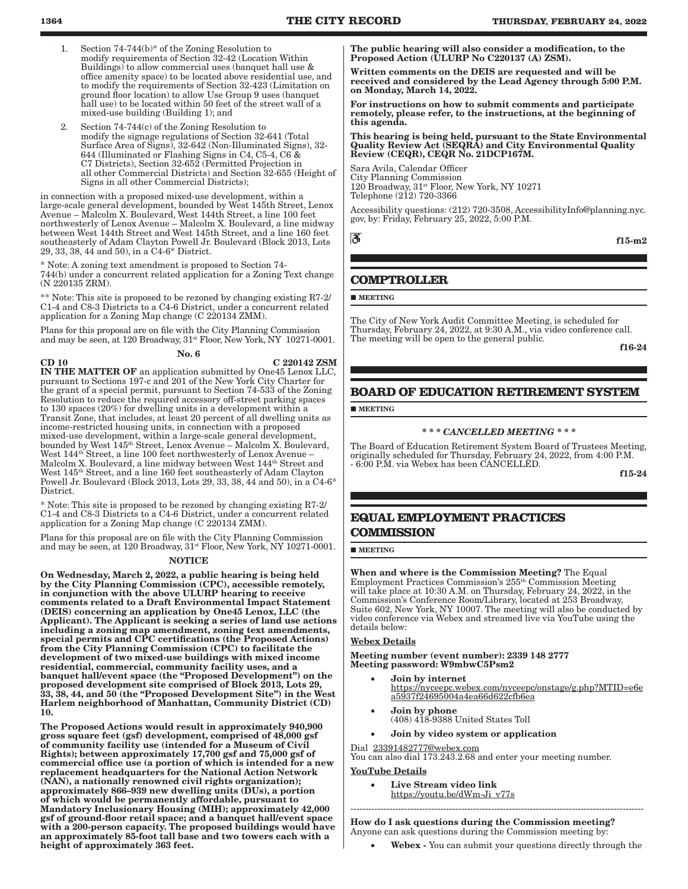- 1. Section 74-744(b)\* of the Zoning Resolution to modify requirements of Section 32-42 (Location Within Buildings) to allow commercial uses (banquet hall use & office amenity space) to be located above residential use, and to modify the requirements of Section 32-423 (Limitation on ground floor location) to allow Use Group 9 uses (banquet hall use) to be located within 50 feet of the street wall of a mixed-use building (Building 1); and
- Section  $74-744(c)$  of the Zoning Resolution to modify the signage regulations of Section 32-641 (Total Surface Area of Signs), 32-642 (Non-Illuminated Signs), 32- 644 (Illuminated or Flashing Signs in C4, C5-4, C6 & C7 Districts), Section 32-652 (Permitted Projection in all other Commercial Districts) and Section 32-655 (Height of Signs in all other Commercial Districts);

in connection with a proposed mixed-use development, within a large-scale general development, bounded by West 145th Street, Lenox Avenue – Malcolm X. Boulevard, West 144th Street, a line 100 feet northwesterly of Lenox Avenue – Malcolm X. Boulevard, a line midway between West 144th Street and West 145th Street, and a line 160 feet southeasterly of Adam Clayton Powell Jr. Boulevard (Block 2013, Lots 29, 33, 38, 44 and 50), in a C4-6\* District.

\* Note: A zoning text amendment is proposed to Section 74- 744(b) under a concurrent related application for a Zoning Text change (N 220135 ZRM).

\*\* Note: This site is proposed to be rezoned by changing existing R7-2/ C1-4 and C8-3 Districts to a C4-6 District, under a concurrent related application for a Zoning Map change (C 220134 ZMM).

Plans for this proposal are on file with the City Planning Commission and may be seen, at 120 Broadway,  $31^{st}$  Floor, New York, NY 10271-0001.

No. 6

 $CD 10$   $C 220142 ZSM$ IN THE MATTER OF an application submitted by One45 Lenox LLC, pursuant to Sections 197-c and 201 of the New York City Charter for the grant of a special permit, pursuant to Section 74-533 of the Zoning Resolution to reduce the required accessory off-street parking spaces to 130 spaces (20%) for dwelling units in a development within a Transit Zone, that includes, at least 20 percent of all dwelling units as income-restricted housing units, in connection with a proposed mixed-use development, within a large-scale general development, bounded by West 145th Street, Lenox Avenue – Malcolm X. Boulevard, West 144th Street, a line 100 feet northwesterly of Lenox Avenue – Malcolm X. Boulevard, a line midway between West 144<sup>th</sup> Street and West 145<sup>th</sup> Street, and a line 160 feet southeasterly of Adam Clayton Powell Jr. Boulevard (Block 2013, Lots 29, 33, 38, 44 and 50), in a C4-6\* District.

\* Note: This site is proposed to be rezoned by changing existing R7-2/ C1-4 and C8-3 Districts to a C4-6 District, under a concurrent related application for a Zoning Map change (C 220134 ZMM).

Plans for this proposal are on file with the City Planning Commission and may be seen, at 120 Broadway,  $31^{st}$  Floor, New York, NY 10271-0001.

#### **NOTICE**

On Wednesday, March 2, 2022, a public hearing is being held by the City Planning Commission (CPC), accessible remotely, in conjunction with the above ULURP hearing to receive comments related to a Draft Environmental Impact Statement (DEIS) concerning an application by One45 Lenox, LLC (the Applicant). The Applicant is seeking a series of land use actions including a zoning map amendment, zoning text amendments, special permits and CPC certifications (the Proposed Actions) from the City Planning Commission (CPC) to facilitate the development of two mixed-use buildings with mixed income residential, commercial, community facility uses, and a banquet hall/event space (the "Proposed Development") on the proposed development site comprised of Block 2013, Lots 29, 33, 38, 44, and 50 (the "Proposed Development Site") in the West Harlem neighborhood of Manhattan, Community District (CD) 10.

The Proposed Actions would result in approximately 940,900 gross square feet (gsf) development, comprised of 48,000 gsf of community facility use (intended for a Museum of Civil Rights); between approximately 17,700 gsf and 75,000 gsf of commercial office use (a portion of which is intended for a new replacement headquarters for the National Action Network (NAN), a nationally renowned civil rights organization); approximately 866–939 new dwelling units (DUs), a portion of which would be permanently affordable, pursuant to Mandatory Inclusionary Housing (MIH); approximately 42,000 gsf of ground-floor retail space; and a banquet hall/event space with a 200-person capacity. The proposed buildings would have an approximately 85-foot tall base and two towers each with a height of approximately 363 feet.

The public hearing will also consider a modification, to the Proposed Action (ULURP No C220137 (A) ZSM).

Written comments on the DEIS are requested and will be received and considered by the Lead Agency through 5:00 P.M. on Monday, March 14, 2022.

For instructions on how to submit comments and participate remotely, please refer, to the instructions, at the beginning of this agenda.

This hearing is being held, pursuant to the State Environmental Quality Review Act (SEQRA) and City Environmental Quality Review (CEQR), CEQR No. 21DCP167M.

Sara Avila, Calendar Officer City Planning Commission 120 Broadway, 31st Floor, New York, NY 10271 Telephone  $(212)$  720-3366

Accessibility questions: (212) 720-3508, AccessibilityInfo@planning.nyc. gov, by: Friday, February 25, 2022, 5:00 P.M.

ී

f15-m2

### **COMPTROLLER**

**MEETING** 

The City of New York Audit Committee Meeting, is scheduled for Thursday, February 24, 2022, at 9:30 A.M., via video conference call. The meeting will be open to the general public.

f16-24

### **BOARD OF EDUCATION RETIREMENT SYSTEM**

**MEETING** 

#### *\* \* \* CANCELLED MEETING \* \* \**

The Board of Education Retirement System Board of Trustees Meeting, originally scheduled for Thursday, February 24, 2022, from 4:00 P.M. - 6:00 P.M. via Webex has been CANCELLED.

f15-24

### **EQUAL EMPLOYMENT PRACTICES COMMISSION**

**MEETING** 

When and where is the Commission Meeting? The Equal Employment Practices Commission's 255th Commission Meeting will take place at 10:30 A.M. on Thursday, February 24, 2022, in the Commission's Conference Room/Library, located at 253 Broadway, Suite 602, New York, NY 10007. The meeting will also be conducted by video conference via Webex and streamed live via YouTube using the details below:

#### Webex Details

Meeting number (event number): 2339 148 2777 Meeting password: W9mbwC5Psm2

- Join by internet https://nyceepc.webex.com/nyceepc/onstage/g.php?MTID=e6e a5937f24695004a4ea66d622cfb6ea
- Join by phone (408) 418-9388 United States Toll
- Join by video system or application

#### Dial 23391482777@webex.com You can also dial 173.243.2.68 and enter your meeting number.

YouTube Details

Live Stream video link https://youtu.be/dWm-Ji\_v77s

How do I ask questions during the Commission meeting? Anyone can ask questions during the Commission meeting by:

--------------------------------------------------------------------------------------------------

Webex - You can submit your questions directly through the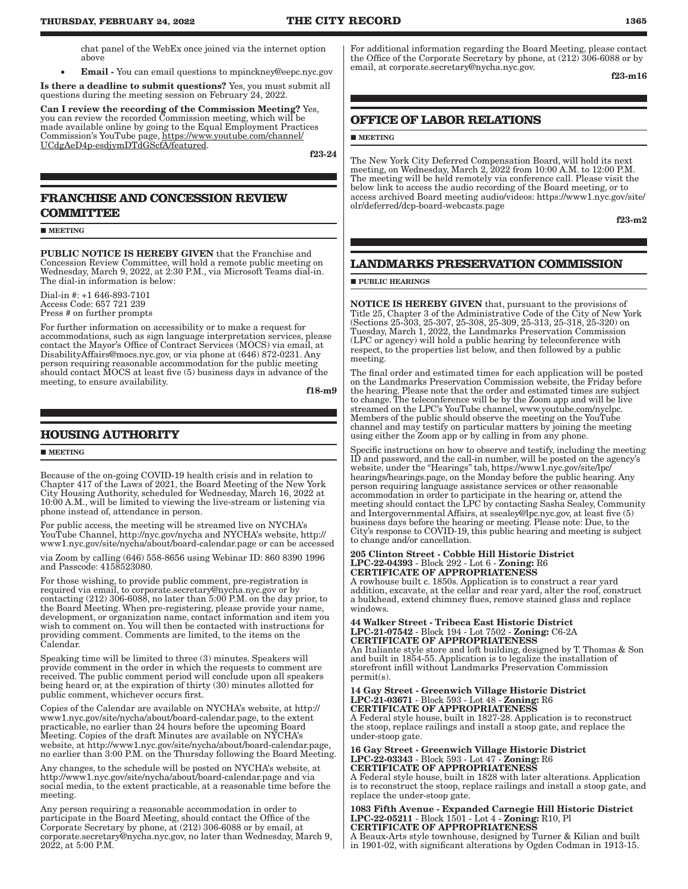chat panel of the WebEx once joined via the internet option above

**Email** - You can email questions to mpinckney@eepc.nyc.gov

Is there a deadline to submit questions? Yes, you must submit all questions during the meeting session on February 24, 2022.

Can I review the recording of the Commission Meeting? Yes, you can review the recorded Commission meeting, which will be made available online by going to the Equal Employment Practices Commission's YouTube page, https://www.youtube.com/channel/ UCdgAeD4p-esdjymDTdGScfA/featured.

f23-24

### **FRANCHISE AND CONCESSION REVIEW COMMITTEE**

#### **MEETING**

PUBLIC NOTICE IS HEREBY GIVEN that the Franchise and Concession Review Committee, will hold a remote public meeting on Wednesday, March 9, 2022, at 2:30 P.M., via Microsoft Teams dial-in. The dial-in information is below:

Dial-in #: +1 646-893-7101 Access Code: 657 721 239 Press # on further prompts

For further information on accessibility or to make a request for accommodations, such as sign language interpretation services, please contact the Mayor's Office of Contract Services (MOCS) via email, at DisabilityAffairs@mocs.nyc.gov, or via phone at (646) 872-0231. Any person requiring reasonable accommodation for the public meeting should contact MOCS at least five (5) business days in advance of the meeting, to ensure availability.

f18-m9

### **HOUSING AUTHORITY**

#### **MEETING**

Because of the on-going COVID-19 health crisis and in relation to Chapter 417 of the Laws of 2021, the Board Meeting of the New York City Housing Authority, scheduled for Wednesday, March 16, 2022 at 10:00 A.M., will be limited to viewing the live-stream or listening via phone instead of, attendance in person.

For public access, the meeting will be streamed live on NYCHA's YouTube Channel, http://nyc.gov/nycha and NYCHA's website, http:// www1.nyc.gov/site/nycha/about/board-calendar.page or can be accessed

via Zoom by calling (646) 558-8656 using Webinar ID: 860 8390 1996 and Passcode: 4158523080.

For those wishing, to provide public comment, pre-registration is required via email, to corporate.secretary@nycha.nyc.gov or by contacting (212) 306-6088, no later than 5:00 P.M. on the day prior, to the Board Meeting. When pre-registering, please provide your name, development, or organization name, contact information and item you wish to comment on. You will then be contacted with instructions for providing comment. Comments are limited, to the items on the Calendar.

Speaking time will be limited to three (3) minutes. Speakers will provide comment in the order in which the requests to comment are received. The public comment period will conclude upon all speakers being heard or, at the expiration of thirty (30) minutes allotted for public comment, whichever occurs first.

Copies of the Calendar are available on NYCHA's website, at http:// www1.nyc.gov/site/nycha/about/board-calendar.page, to the extent practicable, no earlier than 24 hours before the upcoming Board Meeting. Copies of the draft Minutes are available on NYCHA's website, at http://www1.nyc.gov/site/nycha/about/board-calendar.page, no earlier than 3:00 P.M. on the Thursday following the Board Meeting.

Any changes, to the schedule will be posted on NYCHA's website, at http://www1.nyc.gov/site/nycha/about/board-calendar.page and via social media, to the extent practicable, at a reasonable time before the meeting.

Any person requiring a reasonable accommodation in order to participate in the Board Meeting, should contact the Office of the Corporate Secretary by phone, at (212) 306-6088 or by email, at corporate.secretary@nycha.nyc.gov, no later than Wednesday, March 9, 2022, at 5:00 P.M.

For additional information regarding the Board Meeting, please contact the Office of the Corporate Secretary by phone, at (212) 306-6088 or by email, at corporate.secretary@nycha.nyc.gov.

f23-m16

### **OFFICE OF LABOR RELATIONS**

#### **MEETING**

The New York City Deferred Compensation Board, will hold its next meeting, on Wednesday, March 2, 2022 from 10:00 A.M. to 12:00 P.M. The meeting will be held remotely via conference call. Please visit the below link to access the audio recording of the Board meeting, or to access archived Board meeting audio/videos: https://www1.nyc.gov/site/ olr/deferred/dcp-board-webcasts.page

f23-m2

### **LANDMARKS PRESERVATION COMMISSION**

#### **PUBLIC HEARINGS**

NOTICE IS HEREBY GIVEN that, pursuant to the provisions of Title 25, Chapter 3 of the Administrative Code of the City of New York (Sections 25-303, 25-307, 25-308, 25-309, 25-313, 25-318, 25-320) on Tuesday, March 1, 2022, the Landmarks Preservation Commission (LPC or agency) will hold a public hearing by teleconference with respect, to the properties list below, and then followed by a public meeting.

The final order and estimated times for each application will be posted on the Landmarks Preservation Commission website, the Friday before the hearing. Please note that the order and estimated times are subject to change. The teleconference will be by the Zoom app and will be live streamed on the LPC's YouTube channel, www.youtube.com/nyclpc. Members of the public should observe the meeting on the YouTube channel and may testify on particular matters by joining the meeting using either the Zoom app or by calling in from any phone.

Specific instructions on how to observe and testify, including the meeting ID and password, and the call-in number, will be posted on the agency's website, under the "Hearings" tab, https://www1.nyc.gov/site/lpc/ hearings/hearings.page, on the Monday before the public hearing. Any person requiring language assistance services or other reasonable accommodation in order to participate in the hearing or, attend the meeting should contact the LPC by contacting Sasha Sealey, Community and Intergovernmental Affairs, at ssealey@lpc.nyc.gov, at least five (5) business days before the hearing or meeting. Please note: Due, to the City's response to COVID-19, this public hearing and meeting is subject to change and/or cancellation.

205 Clinton Street - Cobble Hill Historic District LPC-22-04393 - Block 292 - Lot 6 - Zoning: R6 CERTIFICATE OF APPROPRIATENESS

A rowhouse built c. 1850s. Application is to construct a rear yard addition, excavate, at the cellar and rear yard, alter the roof, construct a bulkhead, extend chimney flues, remove stained glass and replace windows.

44 Walker Street - Tribeca East Historic District LPC-21-07542 - Block 194 - Lot 7502 - Zoning: C6-2A CERTIFICATE OF APPROPRIATENESS

An Italiante style store and loft building, designed by T. Thomas & Son and built in 1854-55. Application is to legalize the installation of storefront infill without Landmarks Preservation Commission permit(s).

#### 14 Gay Street - Greenwich Village Historic District LPC-21-03671 - Block 593 - Lot 48 - Zoning: R6 CERTIFICATE OF APPROPRIATENESS

A Federal style house, built in 1827-28. Application is to reconstruct the stoop, replace railings and install a stoop gate, and replace the under-stoop gate.

16 Gay Street - Greenwich Village Historic District LPC-22-03343 - Block 593 - Lot 47 - Zoning: R6 CERTIFICATE OF APPROPRIATENESS

A Federal style house, built in 1828 with later alterations. Application is to reconstruct the stoop, replace railings and install a stoop gate, and replace the under-stoop gate.

1083 Fifth Avenue - Expanded Carnegie Hill Historic District LPC-22-05211 - Block 1501 - Lot 4 - Zoning: R10, Pl CERTIFICATE OF APPROPRIATENESS

A Beaux-Arts style townhouse, designed by Turner & Kilian and built in 1901-02, with significant alterations by Ogden Codman in 1913-15.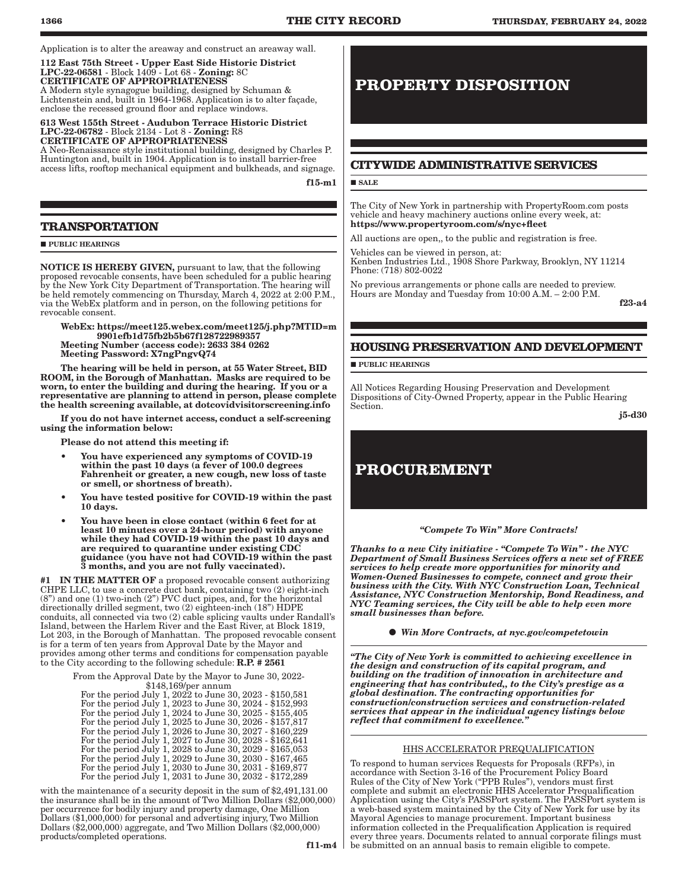Application is to alter the areaway and construct an areaway wall.

112 East 75th Street - Upper East Side Historic District LPC-22-06581 - Block 1409 - Lot 68 - Zoning: 8C CERTIFICATE OF APPROPRIATENESS

A Modern style synagogue building, designed by Schuman & Lichtenstein and, built in 1964-1968. Application is to alter façade, enclose the recessed ground floor and replace windows.

613 West 155th Street - Audubon Terrace Historic District LPC-22-06782 - Block 2134 - Lot 8 - Zoning: R8 CERTIFICATE OF APPROPRIATENESS

A Neo-Renaissance style institutional building, designed by Charles P. Huntington and, built in 1904. Application is to install barrier-free access lifts, rooftop mechanical equipment and bulkheads, and signage.

f15-m1

### **TRANSPORTATION**

#### **PUBLIC HEARINGS**

NOTICE IS HEREBY GIVEN, pursuant to law, that the following proposed revocable consents, have been scheduled for a public hearing by the New York City Department of Transportation. The hearing will be held remotely commencing on Thursday, March 4, 2022 at 2:00 P.M., via the WebEx platform and in person, on the following petitions for revocable consent.

WebEx: https://meet125.webex.com/meet125/j.php?MTID=m 9901efb1d75fb2b5b67f128722989357 Meeting Number (access code): 2633 384 0262 Meeting Password: X7ngPngvQ74

The hearing will be held in person, at 55 Water Street, BID ROOM, in the Borough of Manhattan. Masks are required to be worn, to enter the building and during the hearing. If you or a representative are planning to attend in person, please complete the health screening available, at dotcovidvisitorscreening.info

If you do not have internet access, conduct a self-screening using the information below:

Please do not attend this meeting if:

- You have experienced any symptoms of COVID-19 within the past 10 days (a fever of 100.0 degrees Fahrenheit or greater, a new cough, new loss of taste or smell, or shortness of breath).
- You have tested positive for COVID-19 within the past 10 days.
- You have been in close contact (within 6 feet for at least 10 minutes over a 24-hour period) with anyone while they had COVID-19 within the past 10 days and are required to quarantine under existing CDC guidance (you have not had COVID-19 within the past 3 months, and you are not fully vaccinated).

IN THE MATTER OF a proposed revocable consent authorizing CHPE LLC, to use a concrete duct bank, containing two (2) eight-inch  $(8<sup>n</sup>)$  and one (1) two-inch  $(2<sup>n</sup>)$  PVC duct pipes, and, for the horizontal directionally drilled segment, two (2) eighteen-inch (18") HDPE conduits, all connected via two (2) cable splicing vaults under Randall's Island, between the Harlem River and the East River, at Block 1819, Lot 203, in the Borough of Manhattan. The proposed revocable consent is for a term of ten years from Approval Date by the Mayor and provides among other terms and conditions for compensation payable to the City according to the following schedule: R.P. # 2561

> From the Approval Date by the Mayor to June 30, 2022- \$148,169/per annum

For the period July 1, 2022 to June 30, 2023 - \$150,581 For the period July 1, 2023 to June 30, 2024 - \$152,993 For the period July 1, 2024 to June 30, 2025 - \$155,405 For the period July 1, 2025 to June 30, 2026 - \$157,817 For the period July 1, 2026 to June 30, 2027 - \$160,229 For the period July 1, 2027 to June 30, 2028 - \$162,641 For the period July 1, 2028 to June 30, 2029 - \$165,053 For the period July 1, 2029 to June 30, 2030 - \$167,465 For the period July 1, 2030 to June 30, 2031 - \$169,877 For the period July 1, 2031 to June 30, 2032 - \$172,289

with the maintenance of a security deposit in the sum of \$2,491,131.00 the insurance shall be in the amount of Two Million Dollars (\$2,000,000) per occurrence for bodily injury and property damage, One Million Dollars (\$1,000,000) for personal and advertising injury, Two Million Dollars (\$2,000,000) aggregate, and Two Million Dollars (\$2,000,000) products/completed operations.

f11-m4

## **PROPERTY DISPOSITION**

### **CITYWIDE ADMINISTRATIVE SERVICES**

#### **SALE**

The City of New York in partnership with PropertyRoom.com posts vehicle and heavy machinery auctions online every week, at: https://www.propertyroom.com/s/nyc+fleet

All auctions are open,, to the public and registration is free.

Vehicles can be viewed in person, at: Kenben Industries Ltd., 1908 Shore Parkway, Brooklyn, NY 11214 Phone: (718) 802-0022

No previous arrangements or phone calls are needed to preview. Hours are Monday and Tuesday from 10:00 A.M. - 2:00 P.M.

f23-a4

### **HOUSING PRESERVATION AND DEVELOPMENT**

**PUBLIC HEARINGS** 

All Notices Regarding Housing Preservation and Development Dispositions of City-Owned Property, appear in the Public Hearing Section.

j5-d30

## **PROCUREMENT**

#### *"Compete To Win" More Contracts!*

*Thanks to a new City initiative - "Compete To Win" - the NYC Department of Small Business Services offers a new set of FREE services to help create more opportunities for minority and Women-Owned Businesses to compete, connect and grow their business with the City. With NYC Construction Loan, Technical Assistance, NYC Construction Mentorship, Bond Readiness, and NYC Teaming services, the City will be able to help even more small businesses than before.*

*Win More Contracts, at nyc.gov/competetowin*

*"The City of New York is committed to achieving excellence in the design and construction of its capital program, and building on the tradition of innovation in architecture and engineering that has contributed,, to the City's prestige as a global destination. The contracting opportunities for construction/construction services and construction-related services that appear in the individual agency listings below reflect that commitment to excellence."*

#### HHS ACCELERATOR PREQUALIFICATION

To respond to human services Requests for Proposals (RFPs), in accordance with Section 3-16 of the Procurement Policy Board Rules of the City of New York ("PPB Rules"), vendors must first complete and submit an electronic HHS Accelerator Prequalification Application using the City's PASSPort system. The PASSPort system is a web-based system maintained by the City of New York for use by its Mayoral Agencies to manage procurement. Important business information collected in the Prequalification Application is required every three years. Documents related to annual corporate filings must be submitted on an annual basis to remain eligible to compete.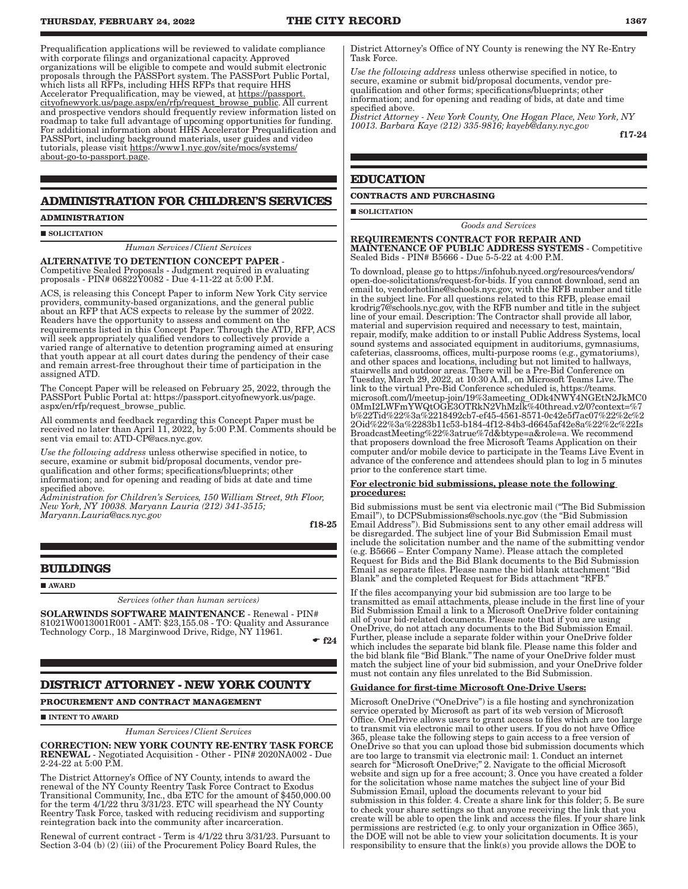Prequalification applications will be reviewed to validate compliance with corporate filings and organizational capacity. Approved organizations will be eligible to compete and would submit electronic proposals through the PASSPort system. The PASSPort Public Portal, which lists all RFPs, including HHS RFPs that require HHS Accelerator Prequalification, may be viewed, at https://passport. cityofnewyork.us/page.aspx/en/rfp/request\_browse\_public. All current and prospective vendors should frequently review information listed on roadmap to take full advantage of upcoming opportunities for funding. For additional information about HHS Accelerator Prequalification and PASSPort, including background materials, user guides and video tutorials, please visit https://www1.nyc.gov/site/mocs/systems/ about-go-to-passport.page.

### **ADMINISTRATION FOR CHILDREN'S SERVICES**

#### **ADMINISTRATION**

SOLICITATION

*Human Services/Client Services*

ALTERNATIVE TO DETENTION CONCEPT PAPER - Competitive Sealed Proposals - Judgment required in evaluating proposals - PIN# 06822Y0082 - Due 4-11-22 at 5:00 P.M.

ACS, is releasing this Concept Paper to inform New York City service providers, community-based organizations, and the general public about an RFP that ACS expects to release by the summer of 2022. Readers have the opportunity to assess and comment on the requirements listed in this Concept Paper. Through the ATD, RFP, ACS will seek appropriately qualified vendors to collectively provide a varied range of alternative to detention programing aimed at ensuring that youth appear at all court dates during the pendency of their case and remain arrest-free throughout their time of participation in the assigned ATD.

The Concept Paper will be released on February 25, 2022, through the PASSPort Public Portal at: https://passport.cityofnewyork.us/page. aspx/en/rfp/request\_browse\_public.

All comments and feedback regarding this Concept Paper must be received no later than April 11, 2022, by 5:00 P.M. Comments should be sent via email to: ATD-CP@acs.nyc.gov.

*Use the following address* unless otherwise specified in notice, to secure, examine or submit bid/proposal documents, vendor prequalification and other forms; specifications/blueprints; other information; and for opening and reading of bids at date and time specified above.

*Administration for Children's Services, 150 William Street, 9th Floor, New York, NY 10038. Maryann Lauria (212) 341-3515; Maryann.Lauria@acs.nyc.gov*

f18-25

#### **BUILDINGS**

**AWARD** 

*Services (other than human services)*

SOLARWINDS SOFTWARE MAINTENANCE - Renewal - PIN# 81021W0013001R001 - AMT: \$23,155.08 - TO: Quality and Assurance Technology Corp., 18 Marginwood Drive, Ridge, NY 11961.

 $-$ f24

### **DISTRICT ATTORNEY - NEW YORK COUNTY**

**PROCUREMENT AND CONTRACT MANAGEMENT**

**INTENT TO AWARD** 

*Human Services/Client Services*

CORRECTION: NEW YORK COUNTY RE-ENTRY TASK FORCE RENEWAL - Negotiated Acquisition - Other - PIN# 2020NA002 - Due 2-24-22 at 5:00 P.M.

The District Attorney's Office of NY County, intends to award the renewal of the NY County Reentry Task Force Contract to Exodus Transitional Community, Inc., dba ETC for the amount of \$450,000.00 for the term 4/1/22 thru 3/31/23. ETC will spearhead the NY County Reentry Task Force, tasked with reducing recidivism and supporting reintegration back into the community after incarceration.

Renewal of current contract - Term is 4/1/22 thru 3/31/23. Pursuant to Section 3-04 (b) (2) (iii) of the Procurement Policy Board Rules, the

District Attorney's Office of NY County is renewing the NY Re-Entry Task Force.

*Use the following address* unless otherwise specified in notice, to secure, examine or submit bid/proposal documents, vendor prequalification and other forms; specifications/blueprints; other information; and for opening and reading of bids, at date and time specified above.

*District Attorney - New York County, One Hogan Place, New York, NY 10013. Barbara Kaye (212) 335-9816; kayeb@dany.nyc.gov*

f17-24

### **EDUCATION**

#### **CONTRACTS AND PURCHASING**

**SOLICITATION** 

*Goods and Services*

REQUIREMENTS CONTRACT FOR REPAIR AND MAINTENANCE OF PUBLIC ADDRESS SYSTEMS - Competitive Sealed Bids - PIN# B5666 - Due 5-5-22 at 4:00 P.M.

To download, please go to https://infohub.nyced.org/resources/vendors/ open-doe-solicitations/request-for-bids. If you cannot download, send an email to, vendorhotline@schools.nyc.gov, with the RFB number and title in the subject line. For all questions related to this RFB, please email krodrig7@schools.nyc.gov, with the RFB number and title in the subject line of your email. Description: The Contractor shall provide all labor, material and supervision required and necessary to test, maintain, repair, modify, make addition to or install Public Address Systems, local sound systems and associated equipment in auditoriums, gymnasiums, cafeterias, classrooms, offices, multi-purpose rooms (e.g., gymatoriums), and other spaces and locations, including but not limited to hallways, stairwells and outdoor areas. There will be a Pre-Bid Conference on Tuesday, March 29, 2022, at 10:30 A.M., on Microsoft Teams Live. The link to the virtual Pre-Bid Conference scheduled is, https://teams. microsoft.com/l/meetup-join/19%3ameeting\_ODk4NWY4NGEtN2JkMC0 0MmI2LWFmYWQtOGE3OTRkN2VhMzlk%40thread.v2/0?context=%7 b%22Tid%22%3a%2218492cb7-ef45-4561-8571-0c42e5f7ac07%22%2c%2 2Oid%22%3a%2283b11c53-b184-4f12-84b3-d6645af42e8a%22%2c%22Is BroadcastMeeting%22%3atrue%7d&btype=a&role=a. We recommend that proposers download the free Microsoft Teams Application on their computer and/or mobile device to participate in the Teams Live Event in advance of the conference and attendees should plan to log in 5 minutes prior to the conference start time.

#### For electronic bid submissions, please note the following procedures:

Bid submissions must be sent via electronic mail ("The Bid Submission Email"), to DCPSubmissions@schools.nyc.gov (the "Bid Submission Email Address"). Bid Submissions sent to any other email address will be disregarded. The subject line of your Bid Submission Email must include the solicitation number and the name of the submitting vendor (e.g. B5666 – Enter Company Name). Please attach the completed Request for Bids and the Bid Blank documents to the Bid Submission Email as separate files. Please name the bid blank attachment "Bid Blank" and the completed Request for Bids attachment "RFB."

If the files accompanying your bid submission are too large to be transmitted as email attachments, please include in the first line of your Bid Submission Email a link to a Microsoft OneDrive folder containing all of your bid-related documents. Please note that if you are using OneDrive, do not attach any documents to the Bid Submission Email. Further, please include a separate folder within your OneDrive folder which includes the separate bid blank file. Please name this folder and the bid blank file "Bid Blank." The name of your OneDrive folder must match the subject line of your bid submission, and your OneDrive folder must not contain any files unrelated to the Bid Submission.

#### Guidance for first-time Microsoft One-Drive Users:

Microsoft OneDrive ("OneDrive") is a file hosting and synchronization service operated by Microsoft as part of its web version of Microsoft Office. OneDrive allows users to grant access to files which are too large to transmit via electronic mail to other users. If you do not have Office 365, please take the following steps to gain access to a free version of OneDrive so that you can upload those bid submission documents which are too large to transmit via electronic mail: 1. Conduct an internet search for "Microsoft OneDrive;" 2. Navigate to the official Microsoft website and sign up for a free account; 3. Once you have created a folder for the solicitation whose name matches the subject line of your Bid Submission Email, upload the documents relevant to your bid submission in this folder. 4. Create a share link for this folder; 5. Be sure to check your share settings so that anyone receiving the link that you create will be able to open the link and access the files. If your share link permissions are restricted (e.g. to only your organization in Office 365), the DOE will not be able to view your solicitation documents. It is your responsibility to ensure that the link(s) you provide allows the DOE to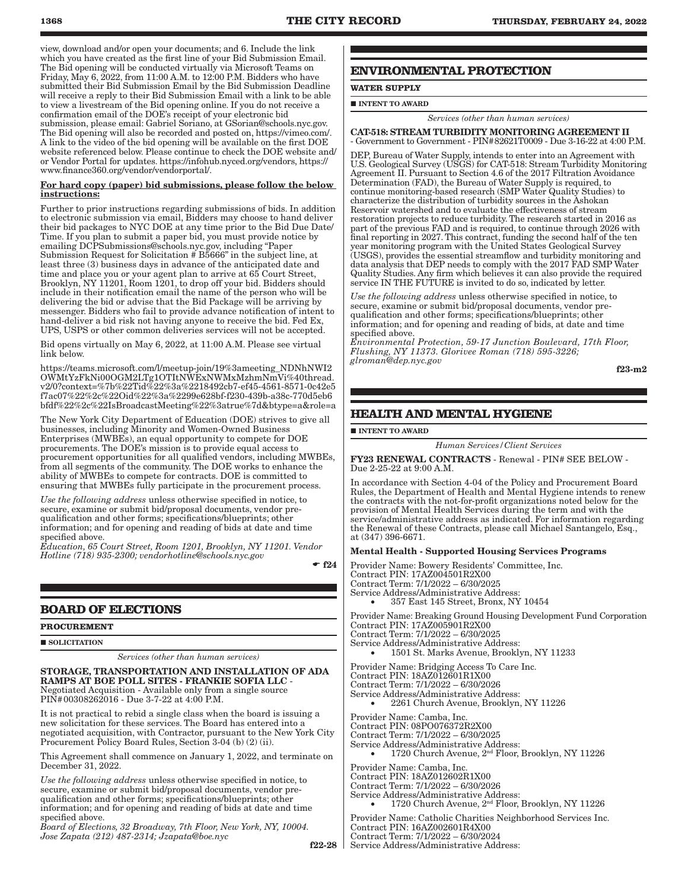view, download and/or open your documents; and 6. Include the link which you have created as the first line of your Bid Submission Email. The Bid opening will be conducted virtually via Microsoft Teams on Friday,  $May 6$ ,  $2022$ , from 11:00 A.M. to 12:00 P.M. Bidders who have submitted their Bid Submission Email by the Bid Submission Deadline will receive a reply to their Bid Submission Email with a link to be able to view a livestream of the Bid opening online. If you do not receive a confirmation email of the DOE's receipt of your electronic bid submission, please email: Gabriel Soriano, at GSorian@schools.nyc.gov. The Bid opening will also be recorded and posted on, https://vimeo.com/. A link to the video of the bid opening will be available on the first DOE website referenced below. Please continue to check the DOE website and/ or Vendor Portal for updates. https://infohub.nyced.org/vendors, https:// www.finance360.org/vendor/vendorportal/.

#### For hard copy (paper) bid submissions, please follow the below instructions:

Further to prior instructions regarding submissions of bids. In addition to electronic submission via email, Bidders may choose to hand deliver their bid packages to NYC DOE at any time prior to the Bid Due Date/ Time. If you plan to submit a paper bid, you must provide notice by emailing DCPSubmissions@schools.nyc.gov, including "Paper Submission Request for Solicitation # B5666" in the subject line, at least three (3) business days in advance of the anticipated date and time and place you or your agent plan to arrive at 65 Court Street, Brooklyn, NY 11201, Room 1201, to drop off your bid. Bidders should include in their notification email the name of the person who will be delivering the bid or advise that the Bid Package will be arriving by messenger. Bidders who fail to provide advance notification of intent to hand-deliver a bid risk not having anyone to receive the bid. Fed Ex, UPS, USPS or other common deliveries services will not be accepted.

Bid opens virtually on May 6, 2022, at 11:00 A.M. Please see virtual link below.

https://teams.microsoft.com/l/meetup-join/19%3ameeting\_NDNhNWI2 OWMtYzFkNi00OGM2LTg1OTItNWExNWMxMzhmNmVi%40thread. v2/0?context=%7b%22Tid%22%3a%2218492cb7-ef45-4561-8571-0c42e5 f7ac07%22%2c%22Oid%22%3a%2299e628bf-f230-439b-a38c-770d5eb6 bfdf%22%2c%22IsBroadcastMeeting%22%3atrue%7d&btype=a&role=a

The New York City Department of Education (DOE) strives to give all businesses, including Minority and Women-Owned Business Enterprises (MWBEs), an equal opportunity to compete for DOE procurements. The DOE's mission is to provide equal access to procurement opportunities for all qualified vendors, including MWBEs, from all segments of the community. The DOE works to enhance the ability of MWBEs to compete for contracts. DOE is committed to ensuring that MWBEs fully participate in the procurement process.

*Use the following address* unless otherwise specified in notice, to secure, examine or submit bid/proposal documents, vendor prequalification and other forms; specifications/blueprints; other information; and for opening and reading of bids at date and time specified above.

*Education, 65 Court Street, Room 1201, Brooklyn, NY 11201. Vendor Hotline (718) 935-2300; vendorhotline@schools.nyc.gov*

 $-$ f24

### **BOARD OF ELECTIONS**

#### **PROCUREMENT**

#### SOLICITATION

*Services (other than human services)*

### STORAGE, TRANSPORTATION AND INSTALLATION OF ADA RAMPS AT BOE POLL SITES - FRANKIE SOFIA LLC - Negotiated Acquisition - Available only from a single source PIN#00308262016 - Due 3-7-22 at 4:00 P.M.

It is not practical to rebid a single class when the board is issuing a new solicitation for these services. The Board has entered into a negotiated acquisition, with Contractor, pursuant to the New York City Procurement Policy Board Rules, Section 3-04 (b) (2) (ii).

This Agreement shall commence on January 1, 2022, and terminate on December 31, 2022.

*Use the following address* unless otherwise specified in notice, to secure, examine or submit bid/proposal documents, vendor prequalification and other forms; specifications/blueprints; other information; and for opening and reading of bids at date and time specified above.

*Board of Elections, 32 Broadway, 7th Floor, New York, NY, 10004. Jose Zapata (212) 487-2314; Jzapata@boe.nyc*

 $f22-28$ 

### **ENVIRONMENTAL PROTECTION**

### **WATER SUPPLY**

 $\blacksquare$  INTENT TO AWARD

*Services (other than human services)*

CAT-518: STREAM TURBIDITY MONITORING AGREEMENT II - Government to Government - PIN#82621T0009 - Due 3-16-22 at 4:00 P.M.

DEP, Bureau of Water Supply, intends to enter into an Agreement with U.S. Geological Survey (USGS) for CAT-518: Stream Turbidity Monitoring Agreement II. Pursuant to Section 4.6 of the 2017 Filtration Avoidance Determination (FAD), the Bureau of Water Supply is required, to continue monitoring-based research (SMP Water Quality Studies) to characterize the distribution of turbidity sources in the Ashokan Reservoir watershed and to evaluate the effectiveness of stream restoration projects to reduce turbidity. The research started in 2016 as part of the previous FAD and is required, to continue through 2026 with final reporting in 2027. This contract, funding the second half of the ten year monitoring program with the United States Geological Survey (USGS), provides the essential streamflow and turbidity monitoring and data analysis that DEP needs to comply with the 2017 FAD SMP Water Quality Studies. Any firm which believes it can also provide the required service IN THE FUTURE is invited to do so, indicated by letter.

*Use the following address* unless otherwise specified in notice, to secure, examine or submit bid/proposal documents, vendor prequalification and other forms; specifications/blueprints; other information; and for opening and reading of bids, at date and time specified above.

*Environmental Protection, 59-17 Junction Boulevard, 17th Floor, Flushing, NY 11373. Glorivee Roman (718) 595-3226; glroman@dep.nyc.gov*

f23-m2

### **HEALTH AND MENTAL HYGIENE**

**INTENT TO AWARD** 

*Human Services/Client Services*

FY23 RENEWAL CONTRACTS - Renewal - PIN# SEE BELOW - Due 2-25-22 at 9:00 A.M.

In accordance with Section 4-04 of the Policy and Procurement Board Rules, the Department of Health and Mental Hygiene intends to renew the contracts with the not-for-profit organizations noted below for the provision of Mental Health Services during the term and with the service/administrative address as indicated. For information regarding the Renewal of these Contracts, please call Michael Santangelo, Esq., at (347) 396-6671.

#### Mental Health - Supported Housing Services Programs

Provider Name: Bowery Residents' Committee, Inc.

Contract PIN: 17AZ004501R2X00

Contract Term: 7/1/2022 – 6/30/2025

Service Address/Administrative Address:

357 East 145 Street, Bronx, NY 10454

Provider Name: Breaking Ground Housing Development Fund Corporation Contract PIN: 17AZ005901R2X00

Contract Term: 7/1/2022 – 6/30/2025

Service Address/Administrative Address: 1501 St. Marks Avenue, Brooklyn, NY 11233

Provider Name: Bridging Access To Care Inc.

Contract PIN: 18AZ012601R1X00 Contract Term: 7/1/2022 – 6/30/2026

Service Address/Administrative Address:

2261 Church Avenue, Brooklyn, NY 11226

Provider Name: Camba, Inc.

Contract PIN: 08PO076372R2X00

Contract Term: 7/1/2022 – 6/30/2025

Service Address/Administrative Address:

1720 Church Avenue, 2<sup>nd</sup> Floor, Brooklyn, NY 11226

Provider Name: Camba, Inc.

Contract PIN: 18AZ012602R1X00

Contract Term: 7/1/2022 – 6/30/2026

Service Address/Administrative Address: 1720 Church Avenue, 2<sup>nd</sup> Floor, Brooklyn, NY 11226

Provider Name: Catholic Charities Neighborhood Services Inc. Contract PIN: 16AZ002601R4X00 Contract Term: 7/1/2022 – 6/30/2024 Service Address/Administrative Address: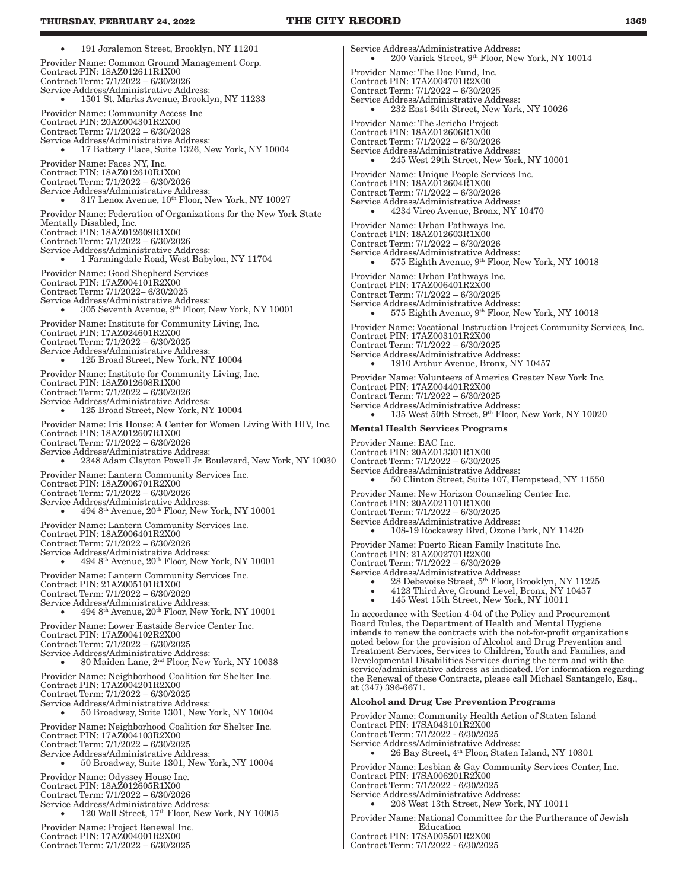191 Joralemon Street, Brooklyn, NY 11201 Provider Name: Common Ground Management Corp. Contract PIN: 18AZ012611R1X00 Contract Term: 7/1/2022 – 6/30/2026 Service Address/Administrative Address: 1501 St. Marks Avenue, Brooklyn, NY 11233 Provider Name: Community Access Inc Contract PIN: 20AZ004301R2X00 Contract Term: 7/1/2022 – 6/30/2028 Service Address/Administrative Address:  $17$  Battery Place, Suite  $1326,$  New York, NY  $10004\,$ Provider Name: Faces NY, Inc. Contract PIN: 18AZ012610R1X00 Contract Term: 7/1/2022 – 6/30/2026 Service Address/Administrative Address: • 317 Lenox Avenue, 10th Floor, New York, NY 10027 Provider Name: Federation of Organizations for the New York State Mentally Disabled, Inc. Contract PIN: 18AZ012609R1X00 Contract Term: 7/1/2022 – 6/30/2026 Service Address/Administrative Address: 1 Farmingdale Road, West Babylon, NY 11704 Provider Name: Good Shepherd Services Contract PIN: 17AZ004101R2X00 Contract Term: 7/1/2022– 6/30/2025 Service Address/Administrative Address: 305 Seventh Avenue, 9<sup>th</sup> Floor, New York, NY 10001 Provider Name: Institute for Community Living, Inc. Contract PIN: 17AZ024601R2X00 Contract Term: 7/1/2022 – 6/30/2025 Service Address/Administrative Address: • 125 Broad Street, New York, NY 10004 Provider Name: Institute for Community Living, Inc. Contract PIN: 18AZ012608R1X00 Contract Term: 7/1/2022 – 6/30/2026 Service Address/Administrative Address: • 125 Broad Street, New York, NY 10004 Provider Name: Iris House: A Center for Women Living With HIV, Inc. Contract PIN: 18AZ012607R1X00 Contract Term: 7/1/2022 – 6/30/2026 Service Address/Administrative Address: • 2348 Adam Clayton Powell Jr. Boulevard, New York, NY 10030 Provider Name: Lantern Community Services Inc. Contract PIN: 18AZ006701R2X00 Contract Term: 7/1/2022 – 6/30/2026 Service Address/Administrative Address:  $494$   $8^{\rm th}$  Avenue,  $20^{\rm th}$  Floor, New York, NY 10001 Provider Name: Lantern Community Services Inc. Contract PIN: 18AZ006401R2X00 Contract Term: 7/1/2022 – 6/30/2026 Service Address/Administrative Address:<br>• 494 8<sup>th</sup> Avenue, 20<sup>th</sup> Floor, New York, NY 10001 Provider Name: Lantern Community Services Inc. Contract PIN: 21AZ005101R1X00 Contract Term: 7/1/2022 – 6/30/2029 Service Address/Administrative Address: • 494 8th Avenue, 20th Floor, New York, NY 10001 Provider Name: Lower Eastside Service Center Inc. Contract PIN: 17AZ004102R2X00 Contract Term: 7/1/2022 – 6/30/2025 Service Address/Administrative Address:<br>• 80 Maiden Lane, 2<sup>nd</sup> Floor, New York, NY 10038 Provider Name: Neighborhood Coalition for Shelter Inc. Contract PIN: 17AZ004201R2X00 Contract Term: 7/1/2022 – 6/30/2025 Service Address/Administrative Address: • 50 Broadway, Suite 1301, New York, NY 10004 Provider Name: Neighborhood Coalition for Shelter Inc. Contract PIN: 17AZ004103R2X00 Contract Term: 7/1/2022 – 6/30/2025 Service Address/Administrative Address: 50 Broadway, Suite 1301, New York, NY 10004 Provider Name: Odyssey House Inc. Contract PIN: 18AZ012605R1X00 Contract Term: 7/1/2022 – 6/30/2026 Service Address/Administrative Address:<br>• 120 Wall Street, 17<sup>th</sup> Floor, New York, NY 10005 Provider Name: Project Renewal Inc. Contract PIN: 17AZ004001R2X00 Contract Term: 7/1/2022 – 6/30/2025

Service Address/Administrative Address:  $200$  Varick Street,  $9<sup>th</sup>$  Floor, New York, NY 10014 Provider Name: The Doe Fund, Inc. Contract PIN: 17AZ004701R2X00 Contract Term: 7/1/2022 – 6/30/2025 Service Address/Administrative Address: 232 East 84th Street, New York, NY 10026 Provider Name: The Jericho Project Contract PIN: 18AZ012606R1X00 Contract Term: 7/1/2022 – 6/30/2026 Service Address/Administrative Address: 245 West 29th Street, New York, NY 10001 Provider Name: Unique People Services Inc. Contract PIN: 18AZ012604R1X00 Contract Term: 7/1/2022 – 6/30/2026 Service Address/Administrative Address: 4234 Vireo Avenue, Bronx, NY 10470 Provider Name: Urban Pathways Inc. Contract PIN: 18AZ012603R1X00 Contract Term: 7/1/2022 – 6/30/2026 Service Address/Administrative Address: 575 Eighth Avenue, 9th Floor, New York, NY 10018 Provider Name: Urban Pathways Inc. Contract PIN: 17AZ006401R2X00 Contract Term: 7/1/2022 – 6/30/2025 Service Address/Administrative Address:<br>• 575 Eighth Avenue, 9<sup>th</sup> Floor, New York, NY 10018 Provider Name: Vocational Instruction Project Community Services, Inc. Contract PIN: 17AZ003101R2X00 Contract Term: 7/1/2022 – 6/30/2025 Service Address/Administrative Address: 1910 Arthur Avenue, Bronx, NY 10457 Provider Name: Volunteers of America Greater New York Inc. Contract PIN: 17AZ004401R2X00 Contract Term: 7/1/2022 – 6/30/2025 Service Address/Administrative Address: 135 West 50th Street, 9th Floor, New York, NY 10020 Mental Health Services Programs Provider Name: EAC Inc. Contract PIN: 20AZ013301R1X00 Contract Term: 7/1/2022 – 6/30/2025 Service Address/Administrative Address: 50 Clinton Street, Suite 107, Hempstead, NY 11550 Provider Name: New Horizon Counseling Center Inc. Contract PIN: 20AZ021101R1X00 Contract Term: 7/1/2022 – 6/30/2025 Service Address/Administrative Address: 108-19 Rockaway Blvd, Ozone Park, NY 11420 Provider Name: Puerto Rican Family Institute Inc. Contract PIN: 21AZ002701R2X00 Contract Term: 7/1/2022 – 6/30/2029 Service Address/Administrative Address: • 28 Debevoise Street, 5<sup>th</sup> Floor, Brooklyn, NY 11225 • 4123 Third Ave, Ground Level, Bronx, NY 10457 • 145 West 15th Street, New York, NY 10011 In accordance with Section 4-04 of the Policy and Procurement Board Rules, the Department of Health and Mental Hygiene intends to renew the contracts with the not-for-profit organizations noted below for the provision of Alcohol and Drug Prevention and Treatment Services, Services to Children, Youth and Families, and Developmental Disabilities Services during the term and with the service/administrative address as indicated. For information regarding the Renewal of these Contracts, please call Michael Santangelo, Esq., at (347) 396-6671. Alcohol and Drug Use Prevention Programs Provider Name: Community Health Action of Staten Island Contract PIN: 17SA043101R2X00 Contract Term: 7/1/2022 - 6/30/2025 Service Address/Administrative Address: 26 Bay Street, 4<sup>th</sup> Floor, Staten Island, NY 10301 Provider Name: Lesbian & Gay Community Services Center, Inc. Contract PIN: 17SA006201R2X00 Contract Term: 7/1/2022 - 6/30/2025 Service Address/Administrative Address: • 208 West 13th Street, New York, NY 10011 Provider Name: National Committee for the Furtherance of Jewish Education

Contract PIN: 17SA005501R2X00

Contract Term: 7/1/2022 - 6/30/2025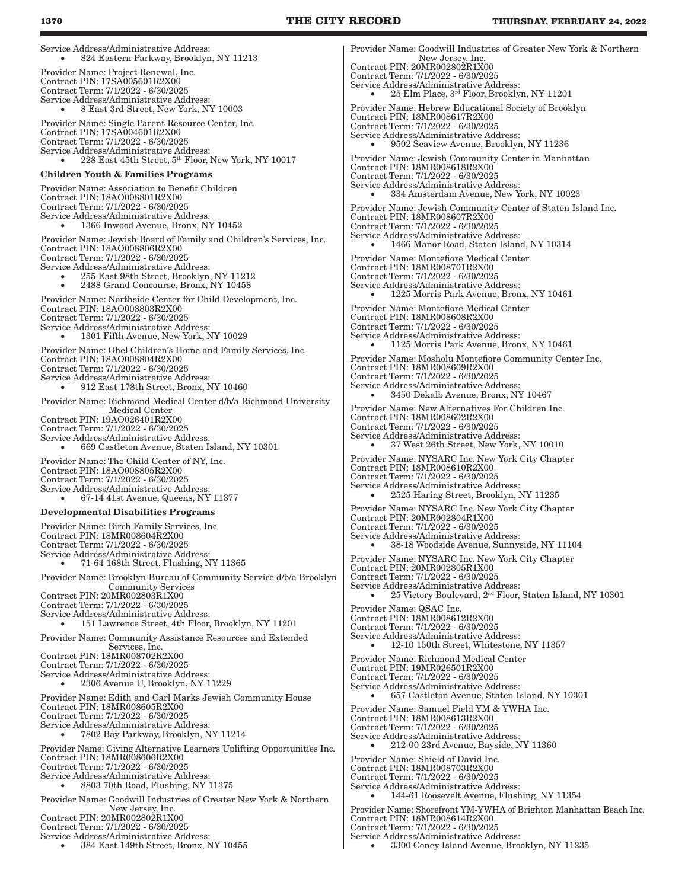Service Address/Administrative Address: 824 Eastern Parkway, Brooklyn, NY 11213 Provider Name: Project Renewal, Inc. Contract PIN: 17SA005601R2X00 Contract Term: 7/1/2022 - 6/30/2025 Service Address/Administrative Address: 8 East 3rd Street, New York, NY 10003 Provider Name: Single Parent Resource Center, Inc. Contract PIN: 17SA004601R2X00 Contract Term: 7/1/2022 - 6/30/2025 Service Address/Administrative Address: 228 East 45th Street, 5<sup>th</sup> Floor, New York, NY 10017 Children Youth & Families Programs Provider Name: Association to Benefit Children Contract PIN: 18AO008801R2X00 Contract Term: 7/1/2022 - 6/30/2025 Service Address/Administrative Address: 1366 Inwood Avenue, Bronx, NY 10452 Provider Name: Jewish Board of Family and Children's Services, Inc. Contract PIN: 18AO008806R2X00 Contract Term: 7/1/2022 - 6/30/2025 Service Address/Administrative Address: 255 East 98th Street, Brooklyn, NY 11212 2488 Grand Concourse, Bronx, NY 10458 Provider Name: Northside Center for Child Development, Inc. Contract PIN: 18AO008803R2X00 Contract Term: 7/1/2022 - 6/30/2025 Service Address/Administrative Address:  $1301$  Fifth Avenue, New York, NY  $10029\,$ Provider Name: Ohel Children's Home and Family Services, Inc. Contract PIN: 18AO008804R2X00 Contract Term: 7/1/2022 - 6/30/2025 Service Address/Administrative Address: 912 East 178th Street, Bronx, NY 10460 Provider Name: Richmond Medical Center d/b/a Richmond University Medical Center Contract PIN: 19AO026401R2X00 Contract Term: 7/1/2022 - 6/30/2025 Service Address/Administrative Address: 669 Castleton Avenue, Staten Island, NY 10301 Provider Name: The Child Center of NY, Inc. Contract PIN: 18AO008805R2X00 Contract Term: 7/1/2022 - 6/30/2025 Service Address/Administrative Address: 67-14 41st Avenue, Queens, NY 11377 Developmental Disabilities Programs Provider Name: Birch Family Services, Inc Contract PIN: 18MR008604R2X00 Contract Term: 7/1/2022 - 6/30/2025 Service Address/Administrative Address: 71-64 168th Street, Flushing, NY 11365 Provider Name: Brooklyn Bureau of Community Service d/b/a Brooklyn Community Services Contract PIN: 20MR002803R1X00 Contract Term: 7/1/2022 - 6/30/2025 Service Address/Administrative Address: 151 Lawrence Street, 4th Floor, Brooklyn, NY 11201 Provider Name: Community Assistance Resources and Extended Services, Inc. Contract PIN: 18MR008702R2X00 Contract Term: 7/1/2022 - 6/30/2025 Service Address/Administrative Address: 2306 Avenue U, Brooklyn, NY 11229 Provider Name: Edith and Carl Marks Jewish Community House Contract PIN: 18MR008605R2X00 Contract Term: 7/1/2022 - 6/30/2025 Service Address/Administrative Address: 7802 Bay Parkway, Brooklyn, NY 11214 Provider Name: Giving Alternative Learners Uplifting Opportunities Inc. Contract PIN: 18MR008606R2X00 Contract Term: 7/1/2022 - 6/30/2025 Service Address/Administrative Address: • 8803 70th Road, Flushing, NY 11375 Provider Name: Goodwill Industries of Greater New York & Northern New Jersey, Inc. Contract PIN: 20MR002802R1X00 Contract Term: 7/1/2022 - 6/30/2025 Service Address/Administrative Address: 384 East 149th Street, Bronx, NY 10455

Provider Name: Goodwill Industries of Greater New York & Northern New Jersey, Inc. Contract PIN: 20MR002802R1X00 Contract Term: 7/1/2022 - 6/30/2025 Service Address/Administrative Address: • 25 Elm Place, 3rd Floor, Brooklyn, NY 11201 Provider Name: Hebrew Educational Society of Brooklyn Contract PIN: 18MR008617R2X00 Contract Term: 7/1/2022 - 6/30/2025 Service Address/Administrative Address: 9502 Seaview Avenue, Brooklyn, NY 11236 Provider Name: Jewish Community Center in Manhattan Contract PIN: 18MR008618R2X00 Contract Term: 7/1/2022 - 6/30/2025 Service Address/Administrative Address: • 334 Amsterdam Avenue, New York, NY 10023 Provider Name: Jewish Community Center of Staten Island Inc. Contract PIN: 18MR008607R2X00 Contract Term: 7/1/2022 - 6/30/2025 Service Address/Administrative Address: 1466 Manor Road, Staten Island, NY 10314 Provider Name: Montefiore Medical Center Contract PIN: 18MR008701R2X00 Contract Term: 7/1/2022 - 6/30/2025 Service Address/Administrative Address: 1225 Morris Park Avenue, Bronx, NY 10461 Provider Name: Montefiore Medical Center Contract PIN: 18MR008608R2X00 Contract Term: 7/1/2022 - 6/30/2025 Service Address/Administrative Address: 1125 Morris Park Avenue, Bronx, NY 10461 Provider Name: Mosholu Montefiore Community Center Inc. Contract PIN: 18MR008609R2X00 Contract Term: 7/1/2022 - 6/30/2025 Service Address/Administrative Address: 3450 Dekalb Avenue, Bronx, NY 10467 Provider Name: New Alternatives For Children Inc. Contract PIN: 18MR008602R2X00 Contract Term: 7/1/2022 - 6/30/2025 Service Address/Administrative Address: 37 West 26th Street, New York, NY 10010 Provider Name: NYSARC Inc. New York City Chapter Contract PIN: 18MR008610R2X00 Contract Term: 7/1/2022 - 6/30/2025 Service Address/Administrative Address: 2525 Haring Street, Brooklyn, NY 11235 Provider Name: NYSARC Inc. New York City Chapter Contract PIN: 20MR002804R1X00 Contract Term: 7/1/2022 - 6/30/2025 Service Address/Administrative Address: 38-18 Woodside Avenue, Sunnyside, NY 11104 Provider Name: NYSARC Inc. New York City Chapter Contract PIN: 20MR002805R1X00 Contract Term: 7/1/2022 - 6/30/2025 Service Address/Administrative Address: 25 Victory Boulevard, 2<sup>nd</sup> Floor, Staten Island, NY 10301 Provider Name: QSAC Inc. Contract PIN: 18MR008612R2X00 Contract Term: 7/1/2022 - 6/30/2025 Service Address/Administrative Address: 12-10 150th Street, Whitestone, NY 11357 Provider Name: Richmond Medical Center Contract PIN: 19MR026501R2X00 Contract Term: 7/1/2022 - 6/30/2025 Service Address/Administrative Address: 657 Castleton Avenue, Staten Island, NY 10301 Provider Name: Samuel Field YM & YWHA Inc. Contract PIN: 18MR008613R2X00 Contract Term: 7/1/2022 - 6/30/2025 Service Address/Administrative Address: 212-00 23rd Avenue, Bayside, NY 11360 Provider Name: Shield of David Inc. Contract PIN: 18MR008703R2X00 Contract Term: 7/1/2022 - 6/30/2025 Service Address/Administrative Address: • 144-61 Roosevelt Avenue, Flushing, NY 11354 Provider Name: Shorefront YM-YWHA of Brighton Manhattan Beach Inc. Contract PIN: 18MR008614R2X00 Contract Term: 7/1/2022 - 6/30/2025 Service Address/Administrative Address:

3300 Coney Island Avenue, Brooklyn, NY 11235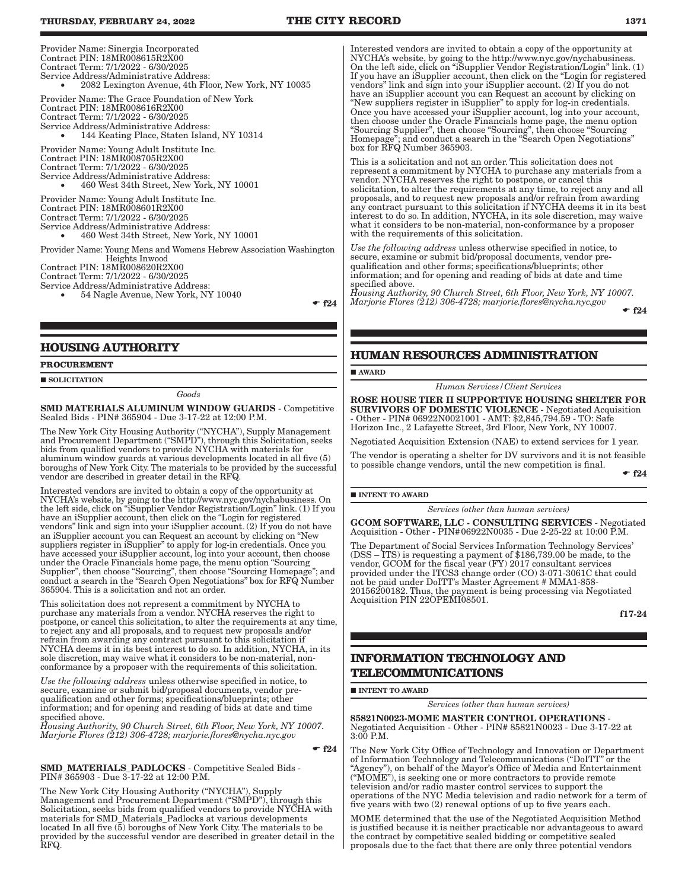Provider Name: Sinergia Incorporated Contract PIN: 18MR008615R2X00 Contract Term: 7/1/2022 - 6/30/2025 Service Address/Administrative Address: 2082 Lexington Avenue, 4th Floor, New York, NY 10035 Provider Name: The Grace Foundation of New York Contract PIN: 18MR008616R2X00 Contract Term: 7/1/2022 - 6/30/2025 Service Address/Administrative Address: 144 Keating Place, Staten Island, NY 10314 Provider Name: Young Adult Institute Inc. Contract PIN: 18MR008705R2X00 Contract Term: 7/1/2022 - 6/30/2025 Service Address/Administrative Address: 460 West 34th Street, New York, NY 10001 Provider Name: Young Adult Institute Inc. Contract PIN: 18MR008601R2X00 Contract Term: 7/1/2022 - 6/30/2025 Service Address/Administrative Address: • 460 West 34th Street, New York, NY 10001 Provider Name: Young Mens and Womens Hebrew Association Washington Heights Inwood Contract PIN: 18MR008620R2X00 Contract Term: 7/1/2022 - 6/30/2025 Service Address/Administrative Address: 54 Nagle Avenue, New York, NY 10040

 $-$  f24

#### **HOUSING AUTHORITY**

#### **PROCUREMENT**

#### **SOLICITATION**

*Goods*

SMD MATERIALS ALUMINUM WINDOW GUARDS - Competitive Sealed Bids - PIN# 365904 - Due 3-17-22 at 12:00 P.M.

The New York City Housing Authority ("NYCHA"), Supply Management and Procurement Department ("SMPD"), through this Solicitation, seeks bids from qualified vendors to provide NYCHA with materials for aluminum window guards at various developments located in all five (5) boroughs of New York City. The materials to be provided by the successful vendor are described in greater detail in the RFQ.

Interested vendors are invited to obtain a copy of the opportunity at NYCHA's website, by going to the http://www.nyc.gov/nychabusiness. On the left side, click on "iSupplier Vendor Registration/Login" link. (1) If you have an iSupplier account, then click on the "Login for registered vendors" link and sign into your iSupplier account. (2) If you do not have an iSupplier account you can Request an account by clicking on "New suppliers register in iSupplier" to apply for log-in credentials. Once you have accessed your iSupplier account, log into your account, then choose under the Oracle Financials home page, the menu option "Sourcing Supplier", then choose "Sourcing", then choose "Sourcing Homepage"; and conduct a search in the "Search Open Negotiations" box for RFQ Number 365904. This is a solicitation and not an order.

This solicitation does not represent a commitment by NYCHA to purchase any materials from a vendor. NYCHA reserves the right to postpone, or cancel this solicitation, to alter the requirements at any time, to reject any and all proposals, and to request new proposals and/or refrain from awarding any contract pursuant to this solicitation if NYCHA deems it in its best interest to do so. In addition, NYCHA, in its sole discretion, may waive what it considers to be non-material, nonconformance by a proposer with the requirements of this solicitation.

*Use the following address* unless otherwise specified in notice, to secure, examine or submit bid/proposal documents, vendor prequalification and other forms; specifications/blueprints; other information; and for opening and reading of bids at date and time specified above.

*Housing Authority, 90 Church Street, 6th Floor, New York, NY 10007. Marjorie Flores (212) 306-4728; marjorie.flores@nycha.nyc.gov*

 $\bullet$  f<sub>24</sub>

SMD\_MATERIALS\_PADLOCKS - Competitive Sealed Bids -PIN# 365903 - Due 3-17-22 at 12:00 P.M.

The New York City Housing Authority ("NYCHA"), Supply Management and Procurement Department ("SMPD"), through this Solicitation, seeks bids from qualified vendors to provide NYCHA with materials for SMD\_Materials\_Padlocks at various developments<br>located In all five (5) boroughs of New York City. The materials to be located In all five (5) boroughs of New York City. The materials to be provided by the successful vendor are described in greater detail in the RFQ.

Interested vendors are invited to obtain a copy of the opportunity at NYCHA's website, by going to the http://www.nyc.gov/nychabusiness. On the left side, click on "iSupplier Vendor Registration/Login" link. (1) If you have an iSupplier account, then click on the "Login for registered vendors" link and sign into your iSupplier account. (2) If you do not have an iSupplier account you can Request an account by clicking on "New suppliers register in iSupplier" to apply for log-in credentials. Once you have accessed your iSupplier account, log into your account, then choose under the Oracle Financials home page, the menu option "Sourcing Supplier", then choose "Sourcing", then choose "Sourcing Homepage"; and conduct a search in the "Search Open Negotiations" box for RFQ Number 365903.

This is a solicitation and not an order. This solicitation does not represent a commitment by NYCHA to purchase any materials from a vendor. NYCHA reserves the right to postpone, or cancel this solicitation, to alter the requirements at any time, to reject any and all proposals, and to request new proposals and/or refrain from awarding any contract pursuant to this solicitation if NYCHA deems it in its best interest to do so. In addition, NYCHA, in its sole discretion, may waive what it considers to be non-material, non-conformance by a proposer with the requirements of this solicitation.

*Use the following address* unless otherwise specified in notice, to secure, examine or submit bid/proposal documents, vendor prequalification and other forms; specifications/blueprints; other information; and for opening and reading of bids at date and time specified above.

*Housing Authority, 90 Church Street, 6th Floor, New York, NY 10007. Marjorie Flores (212) 306-4728; marjorie.flores@nycha.nyc.gov*

 $-$ f24

### **HUMAN RESOURCES ADMINISTRATION**

#### **AWARD**

*Human Services/Client Services*

ROSE HOUSE TIER II SUPPORTIVE HOUSING SHELTER FOR SURVIVORS OF DOMESTIC VIOLENCE - Negotiated Acquisition - Other - PIN# 06922N0021001 - AMT: \$2,845,794.59 - TO: Safe Horizon Inc., 2 Lafayette Street, 3rd Floor, New York, NY 10007.

Negotiated Acquisition Extension (NAE) to extend services for 1 year.

The vendor is operating a shelter for DV survivors and it is not feasible to possible change vendors, until the new competition is final.

 $\div$  f24

#### $\blacksquare$ INTENT TO AWARD

*Services (other than human services)*

GCOM SOFTWARE, LLC - CONSULTING SERVICES - Negotiated Acquisition - Other - PIN#06922N0035 - Due 2-25-22 at 10:00 P.M.

The Department of Social Services Information Technology Services' (DSS – ITS) is requesting a payment of \$186,739.00 be made, to the vendor, GCOM for the fiscal year (FY) 2017 consultant services provided under the ITCS3 change order (CO) 3-071-3061C that could not be paid under DoITT's Master Agreement # MMA1-858- 20156200182. Thus, the payment is being processing via Negotiated Acquisition PIN 22OPEMI08501.

f17-24

### **INFORMATION TECHNOLOGY AND TELECOMMUNICATIONS**

**INTENT TO AWARD** 

*Services (other than human services)*

85821N0023-MOME MASTER CONTROL OPERATIONS - Negotiated Acquisition - Other - PIN# 85821N0023 - Due 3-17-22 at 3:00 P.M.

The New York City Office of Technology and Innovation or Department of Information Technology and Telecommunications ("DoITT" or the "Agency"), on behalf of the Mayor's Office of Media and Entertainment ("MOME"), is seeking one or more contractors to provide remote television and/or radio master control services to support the operations of the NYC Media television and radio network for a term of five years with two (2) renewal options of up to five years each.

MOME determined that the use of the Negotiated Acquisition Method is justified because it is neither practicable nor advantageous to award the contract by competitive sealed bidding or competitive sealed proposals due to the fact that there are only three potential vendors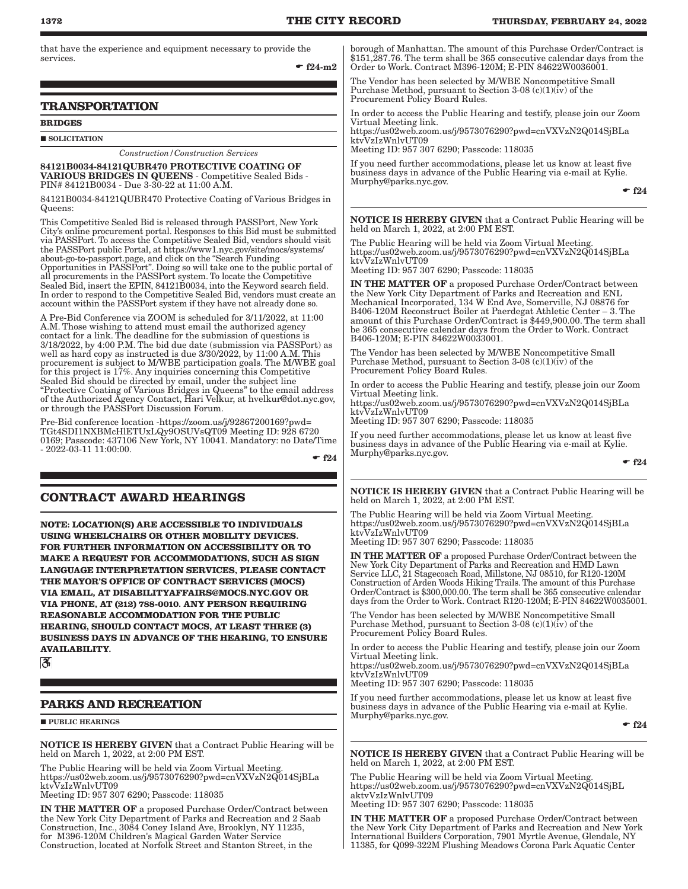that have the experience and equipment necessary to provide the services.

 $• f24-m2$ 

### **TRANSPORTATION**

#### **BRIDGES**

**SOLICITATION** 

*Construction/Construction Services*

84121B0034-84121QUBR470 PROTECTIVE COATING OF VARIOUS BRIDGES IN QUEENS - Competitive Sealed Bids - PIN# 84121B0034 - Due 3-30-22 at 11:00 A.M.

84121B0034-84121QUBR470 Protective Coating of Various Bridges in Queens:

This Competitive Sealed Bid is released through PASSPort, New York City's online procurement portal. Responses to this Bid must be submitted via PASSPort. To access the Competitive Sealed Bid, vendors should visit the PASSPort public Portal, at https://www1.nyc.gov/site/mocs/systems/ about-go-to-passport.page, and click on the "Search Funding Opportunities in PASSPort". Doing so will take one to the public portal of all procurements in the PASSPort system. To locate the Competitive Sealed Bid, insert the EPIN, 84121B0034, into the Keyword search field. In order to respond to the Competitive Sealed Bid, vendors must create an account within the PASSPort system if they have not already done so.

A Pre-Bid Conference via ZOOM is scheduled for 3/11/2022, at 11:00 A.M. Those wishing to attend must email the authorized agency contact for a link. The deadline for the submission of questions is 3/18/2022, by 4:00 P.M. The bid due date (submission via PASSPort) as well as hard copy as instructed is due 3/30/2022, by 11:00 A.M. This procurement is subject to M/WBE participation goals. The M/WBE goal for this project is 17%. Any inquiries concerning this Competitive Sealed Bid should be directed by email, under the subject line "Protective Coating of Various Bridges in Queens" to the email address of the Authorized Agency Contact, Hari Velkur, at hvelkur@dot.nyc.gov, or through the PASSPort Discussion Forum.

Pre-Bid conference location -https://zoom.us/j/92867200169?pwd= TGt4SDI1NXBMcHlETUxLQy9OSUVsQT09 Meeting ID: 928 6720 0169; Passcode: 437106 New York, NY 10041. Mandatory: no Date/Time - 2022-03-11 11:00:00.

 $-$ f24

### **CONTRACT AWARD HEARINGS**

**NOTE: LOCATION(S) ARE ACCESSIBLE TO INDIVIDUALS USING WHEELCHAIRS OR OTHER MOBILITY DEVICES. FOR FURTHER INFORMATION ON ACCESSIBILITY OR TO MAKE A REQUEST FOR ACCOMMODATIONS, SUCH AS SIGN LANGUAGE INTERPRETATION SERVICES, PLEASE CONTACT THE MAYOR'S OFFICE OF CONTRACT SERVICES (MOCS) VIA EMAIL, AT DISABILITYAFFAIRS@MOCS.NYC.GOV OR VIA PHONE, AT (212) 788-0010. ANY PERSON REQUIRING REASONABLE ACCOMMODATION FOR THE PUBLIC HEARING, SHOULD CONTACT MOCS, AT LEAST THREE (3) BUSINESS DAYS IN ADVANCE OF THE HEARING, TO ENSURE AVAILABILITY.**

 $\mathfrak{F}$ 

### **PARKS AND RECREATION**

**PUBLIC HEARINGS** 

NOTICE IS HEREBY GIVEN that a Contract Public Hearing will be held on March 1, 2022, at 2:00 PM EST.

The Public Hearing will be held via Zoom Virtual Meeting. https://us02web.zoom.us/j/9573076290?pwd=cnVXVzN2Q014SjBLa ktvVzIzWnlvUT09

Meeting ID: 957 307 6290; Passcode: 118035

IN THE MATTER OF a proposed Purchase Order/Contract between the New York City Department of Parks and Recreation and 2 Saab Construction, Inc., 3084 Coney Island Ave, Brooklyn, NY 11235, for M396-120M Children's Magical Garden Water Service Construction, located at Norfolk Street and Stanton Street, in the

borough of Manhattan. The amount of this Purchase Order/Contract is \$151,287.76. The term shall be 365 consecutive calendar days from the Order to Work. Contract M396-120M; E-PIN 84622W0036001.

The Vendor has been selected by M/WBE Noncompetitive Small Purchase Method, pursuant to Section 3-08 (c)(1)(iv) of the Procurement Policy Board Rules.

In order to access the Public Hearing and testify, please join our Zoom Virtual Meeting link.

https://us02web.zoom.us/j/9573076290?pwd=cnVXVzN2Q014SjBLa ktvVzIzWnlvUT09

Meeting ID: 957 307 6290; Passcode: 118035

If you need further accommodations, please let us know at least five business days in advance of the Public Hearing via e-mail at Kylie. Murphy@parks.nyc.gov.

 $-$ f24

NOTICE IS HEREBY GIVEN that a Contract Public Hearing will be held on March 1, 2022, at 2:00 PM EST.

The Public Hearing will be held via Zoom Virtual Meeting. https://us02web.zoom.us/j/9573076290?pwd=cnVXVzN2Q014SjBLa ktvVzIzWnlvUT09

Meeting ID: 957 307 6290; Passcode: 118035

IN THE MATTER OF a proposed Purchase Order/Contract between the New York City Department of Parks and Recreation and ENL Mechanical Incorporated, 134 W End Ave, Somerville, NJ 08876 for B406-120M Reconstruct Boiler at Paerdegat Athletic Center – 3. The amount of this Purchase Order/Contract is \$449,900.00. The term shall be 365 consecutive calendar days from the Order to Work. Contract B406-120M; E-PIN 84622W0033001.

The Vendor has been selected by M/WBE Noncompetitive Small Purchase Method, pursuant to Section 3-08 (c)(1)(iv) of the Procurement Policy Board Rules.

In order to access the Public Hearing and testify, please join our Zoom Virtual Meeting link.

https://us02web.zoom.us/j/9573076290?pwd=cnVXVzN2Q014SjBLa ktvVzIzWnlvUT09

Meeting ID: 957 307 6290; Passcode: 118035

If you need further accommodations, please let us know at least five business days in advance of the Public Hearing via e-mail at Kylie. Murphy@parks.nyc.gov.

 $\cdot$  f<sub>24</sub>

NOTICE IS HEREBY GIVEN that a Contract Public Hearing will be held on March 1, 2022, at 2:00 PM EST.

The Public Hearing will be held via Zoom Virtual Meeting. https://us02web.zoom.us/j/9573076290?pwd=cnVXVzN2Q014SjBLa ktvVzIzWnlvUT09

Meeting ID: 957 307 6290; Passcode: 118035

IN THE MATTER OF a proposed Purchase Order/Contract between the New York City Department of Parks and Recreation and HMD Lawn Service LLC, 21 Stagecoach Road, Millstone, NJ 08510, for R120-120M Construction of Arden Woods Hiking Trails. The amount of this Purchase Order/Contract is \$300,000.00. The term shall be 365 consecutive calendar days from the Order to Work. Contract R120-120M; E-PIN 84622W0035001.

The Vendor has been selected by M/WBE Noncompetitive Small Purchase Method, pursuant to Section 3-08  $(c)(1)(iv)$  of the Procurement Policy Board Rules.

In order to access the Public Hearing and testify, please join our Zoom Virtual Meeting link.

https://us02web.zoom.us/j/9573076290?pwd=cnVXVzN2Q014SjBLa ktvVzIzWnlvUT09

Meeting ID: 957 307 6290; Passcode: 118035

If you need further accommodations, please let us know at least five business days in advance of the Public Hearing via e-mail at Kylie. Murphy@parks.nyc.gov.

 $\bullet$  f<sub>24</sub>

NOTICE IS HEREBY GIVEN that a Contract Public Hearing will be held on March 1, 2022, at 2:00 PM EST.

The Public Hearing will be held via Zoom Virtual Meeting. https://us02web.zoom.us/j/9573076290?pwd=cnVXVzN2Q014SjBL aktvVzIzWnlvUT09

Meeting ID: 957 307 6290; Passcode: 118035

IN THE MATTER OF a proposed Purchase Order/Contract between the New York City Department of Parks and Recreation and New York International Builders Corporation, 7901 Myrtle Avenue, Glendale, NY 11385, for Q099-322M Flushing Meadows Corona Park Aquatic Center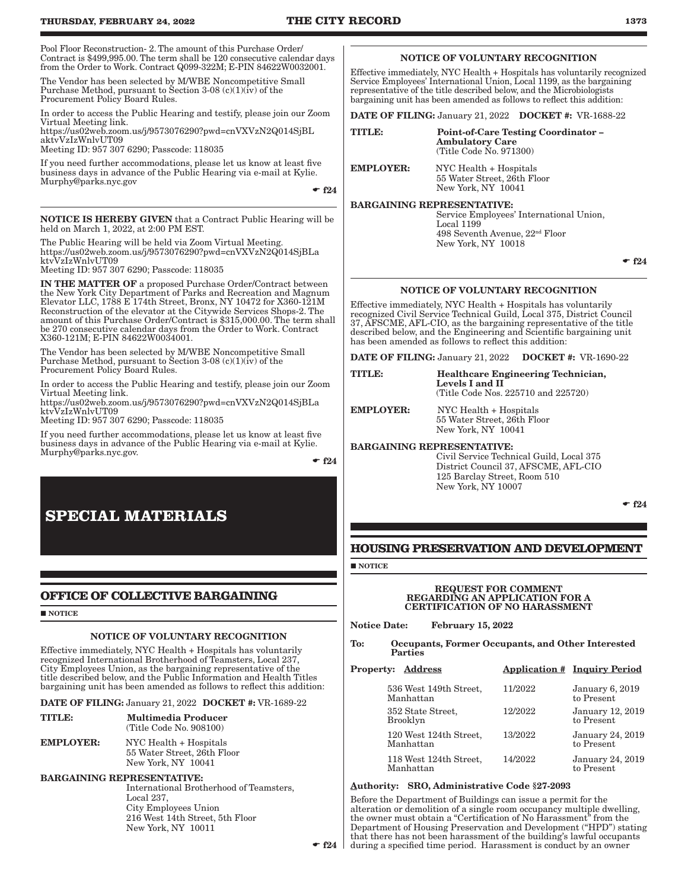| Pool Floor Reconstruction-2. The amount of this Purchase Order/<br>Contract is \$499,995.00. The term shall be 120 consecutive calendar days<br>from the Order to Work. Contract Q099-322M; E-PIN 84622W0032001.<br>The Vendor has been selected by M/WBE Noncompetitive Small<br>Purchase Method, pursuant to Šection 3-08 (c)(1)(iv) of the<br>Procurement Policy Board Rules.<br>In order to access the Public Hearing and testify, please join our Zoom<br>Virtual Meeting link.<br>https://us02web.zoom.us/j/9573076290?pwd=cnVXVzN2Q014SjBL<br>aktyVzIzWnlvUT09<br>Meeting ID: 957 307 6290; Passcode: 118035<br>If you need further accommodations, please let us know at least five<br>business days in advance of the Public Hearing via e-mail at Kylie.<br>Murphy@parks.nyc.gov<br>$\div$ f <sub>24</sub><br><b>NOTICE IS HEREBY GIVEN</b> that a Contract Public Hearing will be<br>held on March 1, 2022, at 2:00 PM EST.<br>The Public Hearing will be held via Zoom Virtual Meeting.<br>https://us02web.zoom.us/j/9573076290?pwd=cnVXVzN2Q014SjBLa<br>ktvVzIzWnlvUT09                                            | Effective immediately, NYC Health + Hospitals has voluntarily recognize<br>Service Employees' International Union, Local 1199, as the bargaining<br>representative of the title described below, and the Microbiologists<br>bargaining unit has been amended as follows to reflect this addition:<br><b>DATE OF FILING:</b> January 21, 2022 <b>DOCKET</b> #: VR-1688-22<br><b>TITLE:</b><br><b>EMPLOYER:</b><br><b>BARGAINING REPRESENTATIVE:</b>                              | <b>NOTICE OF VOLUNTARY RECOGNITION</b><br><b>Ambulatory Care</b><br>(Title Code No. 971300)<br>NYC Health + Hospitals<br>55 Water Street, 26th Floor<br>New York, NY 10041<br>Local 1199<br>New York, NY 10018        | <b>Point-of-Care Testing Coordinator -</b><br>Service Employees' International Union,<br>498 Seventh Avenue, 22 <sup>nd</sup> Floor                                  |                                                        |
|---------------------------------------------------------------------------------------------------------------------------------------------------------------------------------------------------------------------------------------------------------------------------------------------------------------------------------------------------------------------------------------------------------------------------------------------------------------------------------------------------------------------------------------------------------------------------------------------------------------------------------------------------------------------------------------------------------------------------------------------------------------------------------------------------------------------------------------------------------------------------------------------------------------------------------------------------------------------------------------------------------------------------------------------------------------------------------------------------------------------------------|---------------------------------------------------------------------------------------------------------------------------------------------------------------------------------------------------------------------------------------------------------------------------------------------------------------------------------------------------------------------------------------------------------------------------------------------------------------------------------|-----------------------------------------------------------------------------------------------------------------------------------------------------------------------------------------------------------------------|----------------------------------------------------------------------------------------------------------------------------------------------------------------------|--------------------------------------------------------|
| Meeting ID: 957 307 6290; Passcode: 118035<br><b>IN THE MATTER OF</b> a proposed Purchase Order/Contract between<br>the New York City Department of Parks and Recreation and Magnum<br>Elevator LLC, 1788 E 174th Street, Bronx, NY 10472 for X360-121M<br>Reconstruction of the elevator at the Citywide Services Shops-2. The<br>amount of this Purchase Order/Contract is \$315,000.00. The term shall<br>be 270 consecutive calendar days from the Order to Work. Contract<br>X360-121M; E-PIN 84622W0034001.<br>The Vendor has been selected by M/WBE Noncompetitive Small<br>Purchase Method, pursuant to Section 3-08 (c)(1) $(i\vec{v})$ of the<br>Procurement Policy Board Rules.<br>In order to access the Public Hearing and testify, please join our Zoom<br>Virtual Meeting link.<br>https://us02web.zoom.us/j/9573076290?pwd=cnVXVzN2Q014SjBLa<br>ktyVzIzWnlyUT09<br>Meeting ID: 957 307 6290; Passcode: 118035<br>If you need further accommodations, please let us know at least five<br>business days in advance of the Public Hearing via e-mail at Kylie.<br>Murphy@parks.nyc.gov.<br>$\div$ f <sub>24</sub> | Effective immediately, NYC Health + Hospitals has voluntarily<br>recognized Civil Service Technical Guild, Local 375, District Council<br>37, AFSCME, AFL-CIO, as the bargaining representative of the title<br>described below, and the Engineering and Scientific bargaining unit<br>has been amended as follows to reflect this addition:<br>DATE OF FILING: January 21, 2022 DOCKET #: VR-1690-22<br><b>TITLE:</b><br><b>EMPLOYER:</b><br><b>BARGAINING REPRESENTATIVE:</b> | <b>NOTICE OF VOLUNTARY RECOGNITION</b><br>Levels I and II<br>NYC Health + Hospitals<br>55 Water Street, 26th Floor<br>New York, NY 10041                                                                              | <b>Healthcare Engineering Technician,</b><br>(Title Code Nos. 225710 and 225720)<br>Civil Service Technical Guild, Local 375<br>District Council 37, AFSCME, AFL-CIO | $\mathbf{f}$ f2                                        |
| <b>SPECIAL MATERIALS</b><br>OFFICE OF COLLECTIVE BARGAINING<br><b>NOTICE</b><br><b>NOTICE OF VOLUNTARY RECOGNITION</b><br>Effective immediately, NYC Health + Hospitals has voluntarily<br>recognized International Brotherhood of Teamsters, Local 237,                                                                                                                                                                                                                                                                                                                                                                                                                                                                                                                                                                                                                                                                                                                                                                                                                                                                        | <b>HOUSING PRESERVATION AND DEVELOPMENT</b><br>$\blacksquare$ NOTICE<br><b>Notice Date:</b><br>To:<br><b>Parties</b>                                                                                                                                                                                                                                                                                                                                                            | 125 Barclay Street, Room 510<br>New York, NY 10007<br><b>REGARDING AN APPLICATION FOR A</b><br><b>CERTIFICATION OF NO HARASSMENT</b><br><b>February 15, 2022</b><br>Occupants, Former Occupants, and Other Interested | <b>REQUEST FOR COMMENT</b>                                                                                                                                           | $\mathbf{f}$ f2                                        |
| City Employees Union, as the bargaining representative of the<br>title described below, and the Public Information and Health Titles<br>bargaining unit has been amended as follows to reflect this addition:                                                                                                                                                                                                                                                                                                                                                                                                                                                                                                                                                                                                                                                                                                                                                                                                                                                                                                                   | <b>Property: Address</b>                                                                                                                                                                                                                                                                                                                                                                                                                                                        | 536 West 149th Street,                                                                                                                                                                                                | 11/2022                                                                                                                                                              | <b>Application # Inquiry Period</b><br>January 6, 2019 |
| DATE OF FILING: January 21, 2022 DOCKET #: VR-1689-22                                                                                                                                                                                                                                                                                                                                                                                                                                                                                                                                                                                                                                                                                                                                                                                                                                                                                                                                                                                                                                                                           | Manhattan                                                                                                                                                                                                                                                                                                                                                                                                                                                                       |                                                                                                                                                                                                                       |                                                                                                                                                                      | to Present                                             |

TITLE: Multimedia Producer (Title Code No. 908100) EMPLOYER: NYC Health + Hospitals

 55 Water Street, 26th Floor New York, NY 10041 BARGAINING REPRESENTATIVE:

 International Brotherhood of Teamsters, Local 237, City Employees Union 216 West 14th Street, 5th Floor New York, NY 10011

### NOTICE OF VOLUNTARY RECOGNITION

 $\cdot$  f24

#### NOTICE OF VOLUNTARY RECOGNITION

 $-$ f24

### **OPMENT**

## REGARDING AN APPLICATION FOR A CERTIFICATION OF NO HARASSMENT

# **Interested**

| operty:<br>Address                  |         | <b>Application # Inquiry Period</b>  |
|-------------------------------------|---------|--------------------------------------|
| 536 West 149th Street,<br>Manhattan | 11/2022 | <b>January 6, 2019</b><br>to Present |
| 352 State Street,<br>Brooklyn       | 12/2022 | January 12, 2019<br>to Present       |
| 120 West 124th Street,<br>Manhattan | 13/2022 | January 24, 2019<br>to Present       |
| 118 West 124th Street.<br>Manhattan | 14/2022 | January 24, 2019<br>to Present       |

#### Authority: SRO, Administrative Code §27-2093

Before the Department of Buildings can issue a permit for the alteration or demolition of a single room occupancy multiple dwelling, the owner must obtain a "Certification of No Harassment" from the Department of Housing Preservation and Development ("HPD") stating that there has not been harassment of the building's lawful occupants during a specified time period. Harassment is conduct by an owner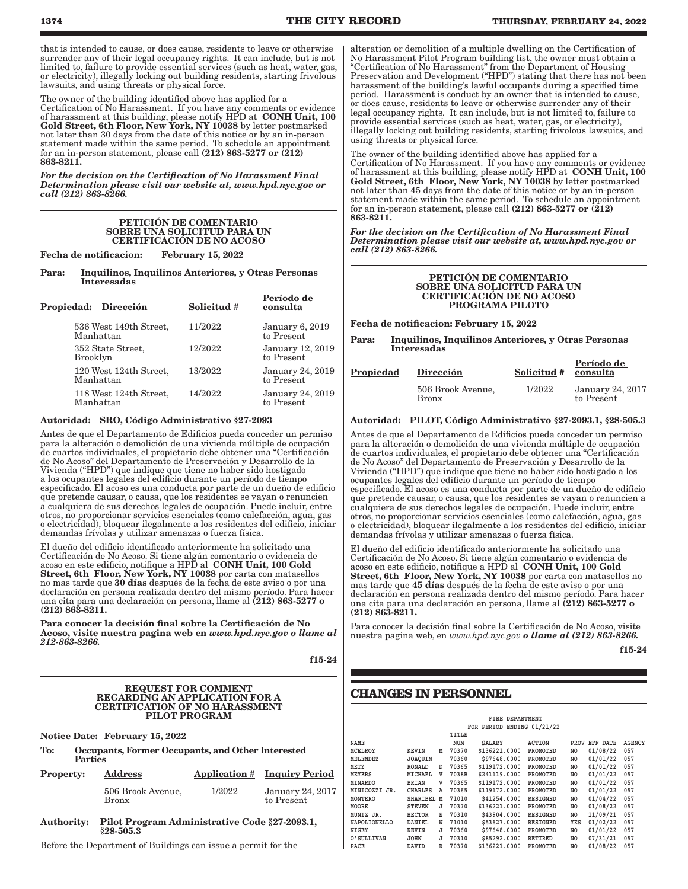that is intended to cause, or does cause, residents to leave or otherwise surrender any of their legal occupancy rights. It can include, but is not limited to, failure to provide essential services (such as heat, water, gas, or electricity), illegally locking out building residents, starting frivolous lawsuits, and using threats or physical force.

The owner of the building identified above has applied for a Certification of No Harassment. If you have any comments or evidence of harassment at this building, please notify HPD at **CONH Unit, 100** Gold Street, 6th Floor, New York, NY 10038 by letter postmarked not later than 30 days from the date of this notice or by an in-person statement made within the same period. To schedule an appointment for an in-person statement, please call  $(212)$  863-5277 or  $(212)$ 863-8211.

*For the decision on the Certification of No Harassment Final Determination please visit our website at, www.hpd.nyc.gov or call (212) 863-8266.*

#### PETICIÓN DE COMENTARIO SOBRE UNA SOLICITUD PARA UN CERTIFICACIÓN DE NO ACOSO

Fecha de notificacion: February 15, 2022

Para: Inquilinos, Inquilinos Anteriores, y Otras Personas Interesadas

Período de

| Propiedad: Dirección                | Solicitud # | rerioao ae<br>consulta         |
|-------------------------------------|-------------|--------------------------------|
| 536 West 149th Street,<br>Manhattan | 11/2022     | January 6, 2019<br>to Present  |
| 352 State Street,<br>Brooklyn       | 12/2022     | January 12, 2019<br>to Present |
| 120 West 124th Street,<br>Manhattan | 13/2022     | January 24, 2019<br>to Present |
| 118 West 124th Street,<br>Manhattan | 14/2022     | January 24, 2019<br>to Present |

#### Autoridad: SRO, Código Administrativo §27-2093

Antes de que el Departamento de Edificios pueda conceder un permiso para la alteración o demolición de una vivienda múltiple de ocupación de cuartos individuales, el propietario debe obtener una "Certificación de No Acoso" del Departamento de Preservación y Desarrollo de la Vivienda ("HPD") que indique que tiene no haber sido hostigado a los ocupantes legales del edificio durante un período de tiempo especificado. El acoso es una conducta por parte de un dueño de edificio que pretende causar, o causa, que los residentes se vayan o renuncien a cualquiera de sus derechos legales de ocupación. Puede incluir, entre otros, no proporcionar servicios esenciales (como calefacción, agua, gas o electricidad), bloquear ilegalmente a los residentes del edificio, iniciar demandas frívolas y utilizar amenazas o fuerza física.

El dueño del edificio identificado anteriormente ha solicitado una Certificación de No Acoso. Si tiene algún comentario o evidencia de acoso en este edificio, notifique a HPD al CONH Unit, 100 Gold Street, 6th Floor, New York, NY 10038 por carta con matasellos no mas tarde que 30 días después de la fecha de este aviso o por una declaración en persona realizada dentro del mismo período. Para hacer una cita para una declaración en persona, llame al (212) 863-5277 o (212) 863-8211.

Para conocer la decisión final sobre la Certificación de No Acoso, visite nuestra pagina web en *www.hpd.nyc.gov o llame al 212-863-8266.*

f15-24

#### REQUEST FOR COMMENT REGARDING AN APPLICATION FOR A CERTIFICATION OF NO HARASSMENT PILOT PROGRAM

Notice Date: February 15, 2022

To: Occupants, Former Occupants, and Other Interested Parties

| <b>Property:</b> | <b>Address</b>             |        | <b>Application # Inquiry Period</b> |
|------------------|----------------------------|--------|-------------------------------------|
|                  | 506 Brook Avenue,<br>Bronx | 1/2022 | January 24, 2017<br>to Present      |

Authority: Pilot Program Administrative Code §27-2093.1, §28-505.3

Before the Department of Buildings can issue a permit for the

alteration or demolition of a multiple dwelling on the Certification of No Harassment Pilot Program building list, the owner must obtain a "Certification of No Harassment" from the Department of Housing Preservation and Development ("HPD") stating that there has not been harassment of the building's lawful occupants during a specified time period. Harassment is conduct by an owner that is intended to cause, or does cause, residents to leave or otherwise surrender any of their legal occupancy rights. It can include, but is not limited to, failure to provide essential services (such as heat, water, gas, or electricity), illegally locking out building residents, starting frivolous lawsuits, and using threats or physical force.

The owner of the building identified above has applied for a Certification of No Harassment. If you have any comments or evidence of harassment at this building, please notify HPD at **CONH Unit, 100** Gold Street, 6th Floor, New York, NY 10038 by letter postmarked not later than 45 days from the date of this notice or by an in-person statement made within the same period. To schedule an appointment for an in-person statement, please call  $(212)$  863-5277 or  $(212)$ 863-8211.

*For the decision on the Certification of No Harassment Final Determination please visit our website at, www.hpd.nyc.gov or call (212) 863-8266.*

| PETICIÓN DE COMENTARIO           |
|----------------------------------|
| SOBRE UNA SOLICITUD PARA UN      |
| <b>CERTIFICACIÓN DE NO ACOSO</b> |
| PROGRAMA PILOTO                  |

Fecha de notificacion: February 15, 2022

Para: Inquilinos, Inquilinos Anteriores, y Otras Personas Interesadas

| <b>Propiedad</b> | Dirección                         | Solicitud # | Periodo de<br>consulta         |
|------------------|-----------------------------------|-------------|--------------------------------|
|                  | 506 Brook Avenue,<br><b>Bronx</b> | 1/2022      | January 24, 2017<br>to Present |

#### Autoridad: PILOT, Código Administrativo §27-2093.1, §28-505.3

Antes de que el Departamento de Edificios pueda conceder un permiso para la alteración o demolición de una vivienda múltiple de ocupación de cuartos individuales, el propietario debe obtener una "Certificación de No Acoso" del Departamento de Preservación y Desarrollo de la Vivienda ("HPD") que indique que tiene no haber sido hostigado a los ocupantes legales del edificio durante un período de tiempo especificado. El acoso es una conducta por parte de un dueño de edificio que pretende causar, o causa, que los residentes se vayan o renuncien a cualquiera de sus derechos legales de ocupación. Puede incluir, entre otros, no proporcionar servicios esenciales (como calefacción, agua, gas o electricidad), bloquear ilegalmente a los residentes del edificio, iniciar demandas frívolas y utilizar amenazas o fuerza física.

El dueño del edificio identificado anteriormente ha solicitado una Certificación de No Acoso. Si tiene algún comentario o evidencia de acoso en este edificio, notifique a HPD al  $\,$  CONH Unit, 100 Gold  $\,$ Street, 6th Floor, New York, NY 10038 por carta con matasellos no mas tarde que 45 días después de la fecha de este aviso o por una declaración en persona realizada dentro del mismo período. Para hacer una cita para una declaración en persona, llame al (212) 863-5277 o (212) 863-8211.

Para conocer la decisión final sobre la Certificación de No Acoso, visite nuestra pagina web, en *www.hpd.nyc.gov o llame al (212) 863-8266.*

f15-24

Período de

### **CHANGES IN PERSONNEL**

|                     | FIRE DEPARTMENT |   |       |               |                 |      |          |        |
|---------------------|-----------------|---|-------|---------------|-----------------|------|----------|--------|
|                     |                 |   |       | FOR PERIOD    | ENDING 01/21/22 |      |          |        |
|                     |                 |   | TITLE |               |                 |      |          |        |
| <b>NAME</b>         |                 |   | NUM   | SALARY        | <b>ACTION</b>   | PROV | EFF DATE | AGENCY |
| <b>MCELROY</b>      | <b>KEVIN</b>    | М | 70370 | \$136221.0000 | PROMOTED        | NO   | 01/08/22 | 057    |
| MELENDEZ            | <b>JOAOUIN</b>  |   | 70360 | \$97648.0000  | PROMOTED        | NO   | 01/01/22 | 057    |
| <b>METZ</b>         | RONALD          | D | 70365 | \$119172.0000 | PROMOTED        | NO   | 01/01/22 | 057    |
| MEYERS              | MICHAEL         | v | 7038B | \$241119.0000 | PROMOTED        | NO   | 01/01/22 | 057    |
| <b>MINARDO</b>      | <b>BRIAN</b>    | v | 70365 | \$119172.0000 | PROMOTED        | NO   | 01/01/22 | 057    |
| MINICOZZI JR.       | <b>CHARLES</b>  | Α | 70365 | \$119172.0000 | PROMOTED        | NO   | 01/01/22 | 057    |
| MONTERO             | SHARIBEL        | M | 71010 | \$41254.0000  | RESIGNED        | NO   | 01/04/22 | 057    |
| MOORE               | <b>STEVEN</b>   | J | 70370 | \$136221.0000 | PROMOTED        | NO   | 01/08/22 | 057    |
| MUNIZ JR.           | <b>HECTOR</b>   | Е | 70310 | \$43904.0000  | RESIGNED        | NO   | 11/09/21 | 057    |
| <b>NAPOLIONELLO</b> | DANIEL          | W | 71010 | \$53627.0000  | <b>RESIGNED</b> | YES  | 01/02/22 | 057    |
| NIGEY               | KEVIN           | J | 70360 | \$97648.0000  | PROMOTED        | NO   | 01/01/22 | 057    |
| O' SULLIVAN         | JOHN            | J | 70310 | \$85292.0000  | <b>RETIRED</b>  | NO   | 07/31/21 | 057    |
| PACE                | DAVID           | R | 70370 | \$136221.0000 | PROMOTED        | NO   | 01/08/22 | 057    |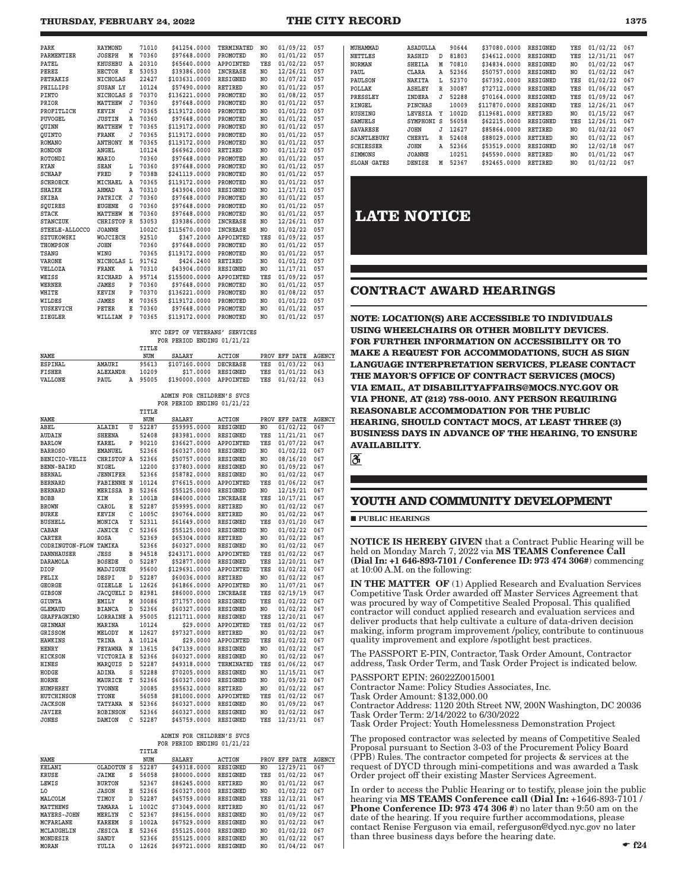| PARK                     | <b>RAYMOND</b>  |   | 71010 | \$41254.0000  | TERMINATED      | N <sub>O</sub> | 01/09/22 | 057 |  |
|--------------------------|-----------------|---|-------|---------------|-----------------|----------------|----------|-----|--|
| <b><i>PARMENTIER</i></b> | <b>JOSEPH</b>   | М | 70360 | \$97648.0000  | PROMOTED        | N <sub>O</sub> | 01/01/22 | 057 |  |
| PATEL                    | <b>KHUSHBU</b>  | A | 20310 | \$65640.0000  | APPOINTED       | YES            | 01/02/22 | 057 |  |
| PEREZ                    | <b>HECTOR</b>   | E | 53053 | \$39386.0000  | <b>INCREASE</b> | NO.            | 12/26/21 | 057 |  |
| PETRAKIS                 | <b>NICHOLAS</b> |   | 22427 | \$103631.0000 | <b>RESIGNED</b> | N <sub>O</sub> | 01/07/22 | 057 |  |
| PHILLIPS                 | SUSAN LY        |   | 10124 | \$57490.0000  | <b>RETIRED</b>  | N <sub>O</sub> | 01/01/22 | 057 |  |
| <b>PINTO</b>             | NICHOLAS S      |   | 70370 | \$136221.0000 | PROMOTED        | N <sub>O</sub> | 01/08/22 | 057 |  |
| PRIOR                    | <b>MATTHEW</b>  | J | 70360 | \$97648.0000  | PROMOTED        | NO.            | 01/01/22 | 057 |  |
| PROFITLICH               | <b>KEVIN</b>    | J | 70365 | \$119172.0000 | PROMOTED        | N <sub>O</sub> | 01/01/22 | 057 |  |
| PUVOGEL                  | <b>JUSTIN</b>   | Α | 70360 | \$97648.0000  | PROMOTED        | N <sub>O</sub> | 01/01/22 | 057 |  |
| OUINN                    | MATTHEW         | T | 70365 | \$119172.0000 | PROMOTED        | N <sub>O</sub> | 01/01/22 | 057 |  |
| OUINTO                   | <b>FRANK</b>    | J | 70365 | \$119172.0000 | PROMOTED        | N <sub>O</sub> | 01/01/22 | 057 |  |
| <b>ROMANO</b>            | <b>ANTHONY</b>  | M | 70365 | \$119172.0000 | PROMOTED        | NO.            | 01/01/22 | 057 |  |
| <b>RONDON</b>            | ANGEL           |   | 10124 | \$66962.0000  | <b>RETIRED</b>  | N <sub>O</sub> | 01/11/22 | 057 |  |
| <b>ROTONDI</b>           | MARIO           |   | 70360 | \$97648.0000  | PROMOTED        | N <sub>O</sub> | 01/01/22 | 057 |  |
| <b>RYAN</b>              | <b>SEAN</b>     | L | 70360 | \$97648.0000  | PROMOTED        | N <sub>O</sub> | 01/01/22 | 057 |  |
| <b>SCHAAF</b>            | FRED            | P | 7038B | \$241119.0000 | PROMOTED        | NO.            | 01/01/22 | 057 |  |
| <b>SCHROECK</b>          | MICHAEL         | A | 70365 | \$119172.0000 | PROMOTED        | NO.            | 01/01/22 | 057 |  |
| <b>SHAIKH</b>            | AHMAD           | Α | 70310 | \$43904.0000  | <b>RESIGNED</b> | NO.            | 11/17/21 | 057 |  |
| <b>SKIBA</b>             | PATRICK         | J | 70360 | \$97648.0000  | PROMOTED        | NO.            | 01/01/22 | 057 |  |
| SOUIRES                  | <b>EUGENE</b>   | G | 70360 | \$97648.0000  | PROMOTED        | N <sub>O</sub> | 01/01/22 | 057 |  |
| <b>STACK</b>             | MATTHEW         | M | 70360 | \$97648.0000  | PROMOTED        | NO.            | 01/01/22 | 057 |  |
| <b>STANCZUK</b>          | CHRISTOP R      |   | 53053 | \$39386.0000  | <b>INCREASE</b> | NO.            | 12/26/21 | 057 |  |
| STEELE-ALLOCCO           | <b>JOANNE</b>   |   | 1002C | \$115670.0000 | <b>INCREASE</b> | NO.            | 01/02/22 | 057 |  |
| SZTUKOWSKI               | WOJCIECH        |   | 92510 | \$347.2000    | APPOINTED       | YES            | 01/09/22 | 057 |  |
| <b>THOMPSON</b>          | <b>JOHN</b>     |   | 70360 | \$97648.0000  | PROMOTED        | NO.            | 01/01/22 | 057 |  |
| TSANG                    | WING            |   | 70365 | \$119172.0000 | PROMOTED        | NO.            | 01/01/22 | 057 |  |
| <b>VARONE</b>            | NICHOLAS L      |   | 91762 | \$426.2400    | <b>RETIRED</b>  | NO.            | 01/01/22 | 057 |  |
| <b>VELLOZA</b>           | <b>FRANK</b>    | A | 70310 | \$43904.0000  | <b>RESIGNED</b> | N <sub>O</sub> | 11/17/21 | 057 |  |
| WEISS                    | <b>RICHARD</b>  | A | 95714 | \$155000.0000 | APPOINTED       | YES            | 01/09/22 | 057 |  |
| <b>WERNER</b>            | <b>JAMES</b>    | P | 70360 | \$97648.0000  | PROMOTED        | NO.            | 01/01/22 | 057 |  |
| WHITE                    | <b>KEVIN</b>    | P | 70370 | \$136221.0000 | PROMOTED        | NO.            | 01/08/22 | 057 |  |
| WILDES                   | <b>JAMES</b>    | M | 70365 | \$119172.0000 | PROMOTED        | NO.            | 01/01/22 | 057 |  |
| YUSKEVICH                | PETER           | E | 70360 | \$97648.0000  | PROMOTED        | N <sub>O</sub> | 01/01/22 | 057 |  |
| ZIEGLER                  | WILLIAM         | P | 70365 | \$119172.0000 | PROMOTED        | N <sub>O</sub> | 01/01/22 | 057 |  |
|                          |                 |   |       |               |                 |                |          |     |  |

 **NYC DEPT OF VETERANS' SERVICES FOR PERIOD ENDING 01/21/22**

 **TITLE NAME NUM SALARY ACTION PROV EFF DATE AGENCY**  $$107160.0000$  DECREASE **FISHER ALEXANDR 10209 \$17.0000 DECREASE YES 01/03/22 063**<br>**FISHER ALEXANDR 10209 \$17.0000 RESIGNED YES 01/01/22 063**<br>**VALLONE PAUL A 95005 \$190000.0000 APPOINTED YES 01/02/22 063** \$190000.0000 APPOINTED

> **ADMIN FOR CHILDREN'S SVCS FOR PERIOD ENDING 01/21/22**

|                          |                   |   | TITLE |               |                  |                |          |               |
|--------------------------|-------------------|---|-------|---------------|------------------|----------------|----------|---------------|
| <b>NAME</b>              |                   |   | NUM   | <b>SALARY</b> | <b>ACTION</b>    | PROV           | EFF DATE | <b>AGENCY</b> |
| ABEL                     | <b>ALAIBI</b>     | U | 52287 | \$59995.0000  | <b>RESIGNED</b>  | N <sub>O</sub> | 01/02/22 | 067           |
| <b>AUDAIN</b>            | <b>SHEENA</b>     |   | 52408 | \$83981.0000  | <b>RESIGNED</b>  | YES            | 11/21/21 | 067           |
| <b>BARLOW</b>            | KAREL             | P | 90210 | \$36627.0000  | APPOINTED        | YES            | 01/07/22 | 067           |
| <b>BARROSO</b>           | <b>EMANUEL</b>    |   | 52366 | \$60327.0000  | <b>RESIGNED</b>  | N <sub>O</sub> | 01/02/22 | 067           |
| BENICIO-VELIZ            | CHRISTOP A        |   | 52366 | \$50757.0000  | <b>RESIGNED</b>  | N <sub>O</sub> | 08/16/20 | 067           |
| <b>BENN-BAIRD</b>        | NIGEL             |   | 12200 | \$37803.0000  | <b>RESIGNED</b>  | N <sub>O</sub> | 01/09/22 | 067           |
| <b>BERNAL</b>            | <b>JENNIFER</b>   |   | 52366 | \$58782.0000  | <b>RESIGNED</b>  | NO.            | 01/02/22 | 067           |
| <b>BERNARD</b>           | <b>FABIENNE N</b> |   | 10124 | \$76615.0000  | APPOINTED        | YES            | 01/06/22 | 067           |
| <b>BERNARD</b>           | <b>MERISSA</b>    | в | 52366 | \$55125.0000  | <b>RESIGNED</b>  | NO             | 12/19/21 | 067           |
| <b>BOBB</b>              | KIM               | R | 1001B | \$84000.0000  | <b>INCREASE</b>  | YES            | 10/17/21 | 067           |
| <b>BROWN</b>             | CAROL             | E | 52287 | \$59995.0000  | <b>RETIRED</b>   | NO.            | 01/02/22 | 067           |
| <b>BURKE</b>             | <b>KEVIN</b>      | C | 1005C | \$90764.0000  | <b>RETIRED</b>   | N <sub>O</sub> | 01/02/22 | 067           |
| <b>BUSHELL</b>           | MONICA            | Y | 52311 | \$61649.0000  | <b>RESIGNED</b>  | YES            | 03/01/20 | 067           |
| CABAN                    | <b>JANICE</b>     | C | 52366 | \$55125.0000  | <b>RESIGNED</b>  | N <sub>O</sub> | 01/02/22 | 067           |
| CARTER                   | <b>ROSA</b>       |   | 52369 | \$65304.0000  | <b>RETIRED</b>   | NO.            | 01/02/22 | 067           |
| CODRINGTON-FLOW          | TAMIKA            |   | 52366 | \$60327.0000  | <b>RESIGNED</b>  | NO.            | 01/02/22 | 067           |
| <b><i>DANNHAUSER</i></b> | JESS              | B | 94518 | \$243171.0000 | APPOINTED        | YES            | 01/02/22 | 067           |
| <b>DARAMOLA</b>          | <b>BOSEDE</b>     | O | 52287 | \$52877.0000  | <b>RESIGNED</b>  | YES            | 12/20/21 | 067           |
| <b>DIOP</b>              | MADJIGUE          |   | 95600 | \$129691.0000 | <b>APPOINTED</b> | <b>YES</b>     | 01/02/22 | 067           |
| <b>FELIX</b>             | DESPI             | D | 52287 | \$60036.0000  | <b>RETIRED</b>   | NO.            | 01/02/22 | 067           |
| <b>GEORGE</b>            | <b>GIZELLE</b>    | L | 12626 | \$61866.0000  | APPOINTED        | N <sub>O</sub> | 11/07/21 | 067           |
| <b>GIBSON</b>            | JACQUELI D        |   | 82981 | \$86000.0000  | <b>INCREASE</b>  | YES            | 02/19/19 | 067           |
| <b>GIUNTA</b>            | <b>EMILY</b>      | M | 30086 | \$71757.0000  | <b>RESIGNED</b>  | YES            | 01/02/22 | 067           |
| <b>GLEMAUD</b>           | <b>BIANCA</b>     | D | 52366 | \$60327.0000  | <b>RESIGNED</b>  | NO.            | 01/02/22 | 067           |
| <b>GRAFFAGNINO</b>       | <b>LORRAINE A</b> |   | 95005 | \$121711.0000 | <b>RESIGNED</b>  | YES            | 12/20/21 | 067           |
| <b>GRINMAN</b>           | MARINA            |   | 10124 | \$29,0000     | APPOINTED        | YES            | 01/02/22 | 067           |
| <b>GRISSOM</b>           | MELODY            | M | 12627 | \$97327.0000  | <b>RETIRED</b>   | NO.            | 01/02/22 | 067           |
| <b>HAWKINS</b>           | TRINA             | Α | 10124 | \$29.0000     | APPOINTED        | YES            | 01/02/22 | 067           |
| <b>HENRY</b>             | <b>FEYAWNA</b>    | N | 13615 | \$47139.0000  | <b>RESIGNED</b>  | N <sub>O</sub> | 01/02/22 | 067           |
| <b>HICKSON</b>           | <b>VICTORIA E</b> |   | 52366 | \$60327.0000  | <b>RESIGNED</b>  | N <sub>O</sub> | 01/02/22 | 067           |
| <b>HINES</b>             | MAROUIS           | D | 52287 | \$49318.0000  | TERMINATED       | YES            | 01/06/22 | 067           |
| HODGE                    | ADINA             | S | 52288 | \$70205.0000  | <b>RESIGNED</b>  | NO.            | 11/15/21 | 067           |
| <b>HORNE</b>             | MAURICE           | т | 52366 | \$60327.0000  | <b>RESIGNED</b>  | N <sub>O</sub> | 01/09/22 | 067           |
| <b>HUMPHREY</b>          | YVONNE            |   | 30085 | \$95632.0000  | <b>RETIRED</b>   | NO.            | 01/02/22 | 067           |
| HUTCHINSON               | TYONE             |   | 56058 | \$81000.0000  | APPOINTED        | YES            | 01/02/22 | 067           |
| <b>JACKSON</b>           | TATYANA           | N | 52366 | \$60327.0000  | <b>RESIGNED</b>  | NO.            | 01/09/22 | 067           |
| <b>JAVIER</b>            | <b>ROBINSON</b>   |   | 52366 | \$60327.0000  | <b>RESIGNED</b>  | NO.            | 01/02/22 | 067           |
| <b>JONES</b>             | <b>DAMION</b>     | C | 52287 | \$45759.0000  | <b>RESIGNED</b>  | YES            | 12/23/21 | 067           |
|                          |                   |   |       |               |                  |                |          |               |

#### **ADMIN FOR CHILDREN'S SVCS FOR PERIOD ENDING 01/21/22**

 **TITLE**

| NAME              |               |   | NUM   | <b>SALARY</b> | <b>ACTION</b>   | PROV | EFF DATE | <b>AGENCY</b> |
|-------------------|---------------|---|-------|---------------|-----------------|------|----------|---------------|
| <b>KELANI</b>     | OLADOTUN      | s | 52287 | \$49318.0000  | <b>RESIGNED</b> | NO   | 12/29/21 | 067           |
| KRUSE             | JAIME         | s | 56058 | \$80000.0000  | <b>RESIGNED</b> | YES  | 01/02/22 | 067           |
| LEWIS             | <b>BURTON</b> |   | 52367 | \$86245.0000  | <b>RETIRED</b>  | NO   | 01/01/22 | 067           |
| LO.               | <b>JASON</b>  | н | 52366 | \$60327.0000  | <b>RESIGNED</b> | NO.  | 01/02/22 | 067           |
| MALCOLM           | TIMOY         | D | 52287 | \$45759.0000  | <b>RESIGNED</b> | YES  | 12/12/21 | 067           |
| <b>MATTHEWS</b>   | TAMARA        | L | 1002C | \$73049.0000  | <b>RETIRED</b>  | NO   | 01/01/22 | 067           |
| MAYERS-JOHN       | MERLYN        | C | 52367 | \$86156.0000  | <b>RESIGNED</b> | NO.  | 01/09/22 | 067           |
| <b>MCFARLANE</b>  | <b>KAREEM</b> | s | 1002A | \$67529.0000  | RESIGNED        | NO.  | 01/02/22 | 067           |
| <b>MCLAUGHLIN</b> | JESICA        | Е | 52366 | \$55125,0000  | <b>RESIGNED</b> | NO.  | 01/02/22 | 067           |
| MONDESIR          | SANDY         |   | 52366 | \$55125.0000  | <b>RESIGNED</b> | NO   | 01/02/22 | 067           |
| MORAN             | YULIA         | O | 12626 | \$69721.0000  | <b>RESIGNED</b> | NO.  | 01/04/22 | 067           |

| MUHAMMAD           | ASADULLA      |   | 90644 | \$37080.0000  | RESIGNED        | YES | 01/02/22 | 067 |
|--------------------|---------------|---|-------|---------------|-----------------|-----|----------|-----|
| <b>NETTLES</b>     | RASHID        | D | 81803 | \$34612.0000  | RESIGNED        | YES | 12/31/21 | 067 |
| <b>NORMAN</b>      | <b>SHEILA</b> | М | 70810 | \$34834.0000  | <b>RESIGNED</b> | NO  | 01/02/22 | 067 |
| PAUL               | CLARA         | Α | 52366 | \$50757.0000  | RESIGNED        | NO  | 01/02/22 | 067 |
| PAULSON            | NAKITA        | L | 52370 | \$67392.0000  | <b>RESIGNED</b> | YES | 01/02/22 | 067 |
| POLLAK             | ASHLEY        | R | 30087 | \$72712.0000  | RESIGNED        | YES | 01/06/22 | 067 |
| PRESSLEY           | INDERA        | л | 52288 | \$70164.0000  | <b>RESIGNED</b> | YES | 01/09/22 | 067 |
| RINGEL             | PINCHAS       |   | 10009 | \$117870.0000 | RESIGNED        | YES | 12/26/21 | 067 |
| <b>RUSHING</b>     | LEVESIA       | Υ | 1002D | \$119681.0000 | <b>RETIRED</b>  | NO  | 01/15/22 | 067 |
| SAMUELS            | SYMPHONI      | s | 56058 | \$62215.0000  | RESIGNED        | YES | 12/26/21 | 067 |
| <b>SAVARESE</b>    | <b>JOHN</b>   | J | 12627 | \$85864.0000  | <b>RETIRED</b>  | NO  | 01/02/22 | 067 |
| <b>SCANTLEBURY</b> | CHERYL        | R | 52408 | \$88029.0000  | RETIRED         | NO  | 01/02/22 | 067 |
| <b>SCHIESSER</b>   | <b>JOHN</b>   | Ά | 52366 | \$53519.0000  | <b>RESIGNED</b> | NO  | 12/02/18 | 067 |
| SIMMONS            | <b>JOANNE</b> |   | 10251 | \$45590.0000  | RETIRED         | NO  | 01/01/22 | 067 |
| <b>SLOAN GATES</b> | DENISE        | М | 52367 | \$92465.0000  | <b>RETIRED</b>  | NO  | 01/02/22 | 067 |

## **LATE NOTICE**

#### **CONTRACT AWARD HEARINGS**

**NOTE: LOCATION(S) ARE ACCESSIBLE TO INDIVIDUALS USING WHEELCHAIRS OR OTHER MOBILITY DEVICES. FOR FURTHER INFORMATION ON ACCESSIBILITY OR TO MAKE A REQUEST FOR ACCOMMODATIONS, SUCH AS SIGN LANGUAGE INTERPRETATION SERVICES, PLEASE CONTACT THE MAYOR'S OFFICE OF CONTRACT SERVICES (MOCS) VIA EMAIL, AT DISABILITYAFFAIRS@MOCS.NYC.GOV OR VIA PHONE, AT (212) 788-0010. ANY PERSON REQUIRING REASONABLE ACCOMMODATION FOR THE PUBLIC HEARING, SHOULD CONTACT MOCS, AT LEAST THREE (3) BUSINESS DAYS IN ADVANCE OF THE HEARING, TO ENSURE AVAILABILITY.**

ී

### **YOUTH AND COMMUNITY DEVELOPMENT**

**PUBLIC HEARINGS** 

NOTICE IS HEREBY GIVEN that a Contract Public Hearing will be held on Monday March 7, 2022 via MS TEAMS Conference Call (Dial In: +1 646-893-7101 / Conference ID: 973 474 306#) commencing at 10:00 A.M. on the following:

IN THE MATTER OF (1) Applied Research and Evaluation Services Competitive Task Order awarded off Master Services Agreement that was procured by way of Competitive Sealed Proposal. This qualified contractor will conduct applied research and evaluation services and deliver products that help cultivate a culture of data-driven decision making, inform program improvement /policy, contribute to continuous quality improvement and explore /spotlight best practices.

The PASSPORT E-PIN, Contractor, Task Order Amount, Contractor address, Task Order Term, and Task Order Project is indicated below.

PASSPORT EPIN: 26022Z0015001 Contractor Name: Policy Studies Associates, Inc. Task Order Amount: \$132,000.00 Contractor Address: 1120 20th Street NW, 200N Washington, DC 20036 Task Order Term: 2/14/2022 to 6/30/2022 Task Order Project: Youth Homelessness Demonstration Project

The proposed contractor was selected by means of Competitive Sealed Proposal pursuant to Section 3-03 of the Procurement Policy Board (PPB) Rules. The contractor competed for projects & services at the request of DYCD through mini-competitions and was awarded a Task Order project off their existing Master Services Agreement.

In order to access the Public Hearing or to testify, please join the public hearing via MS TEAMS Conference call (Dial In: +1646-893-7101 / Phone Conference ID: 973 474 306 #) no later than 9:50 am on the date of the hearing. If you require further accommodations, please contact Renise Ferguson via email, referguson@dycd.nyc.gov no later than three business days before the hearing date.